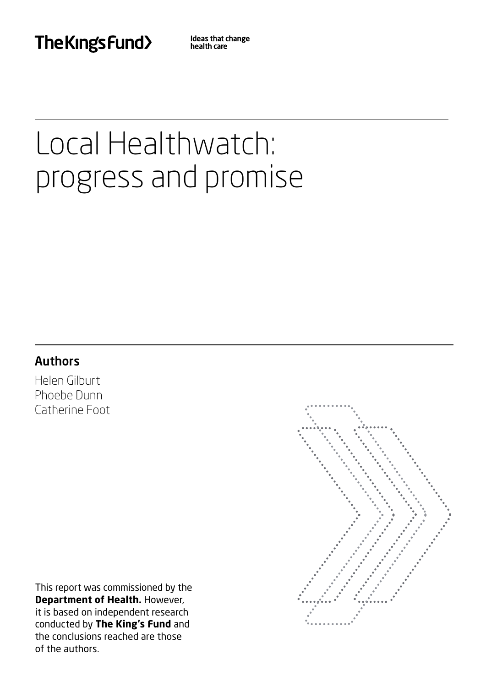The Kings Fund>

Ideas that change health care

# Local Healthwatch: progress and promise

# Authors

Helen Gilburt Phoebe Dunn Catherine Foot

This report was commissioned by the **Department of Health.** However, it is based on independent research conducted by **The King's Fund** and the conclusions reached are those of the authors.

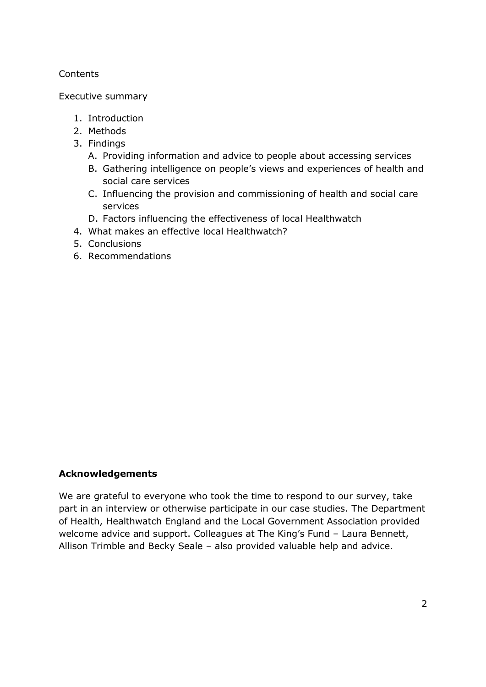## **Contents**

#### Executive summary

- 1. Introduction
- 2. Methods
- 3. Findings
	- A. Providing information and advice to people about accessing services
	- B. Gathering intelligence on people's views and experiences of health and social care services
	- C. Influencing the provision and commissioning of health and social care services
	- D. Factors influencing the effectiveness of local Healthwatch
- 4. What makes an effective local Healthwatch?
- 5. Conclusions
- 6. Recommendations

#### **Acknowledgements**

 We are grateful to everyone who took the time to respond to our survey, take of Health, Healthwatch England and the Local Government Association provided welcome advice and support. Colleagues at The King's Fund – Laura Bennett, Allison Trimble and Becky Seale – also provided valuable help and advice. part in an interview or otherwise participate in our case studies. The Department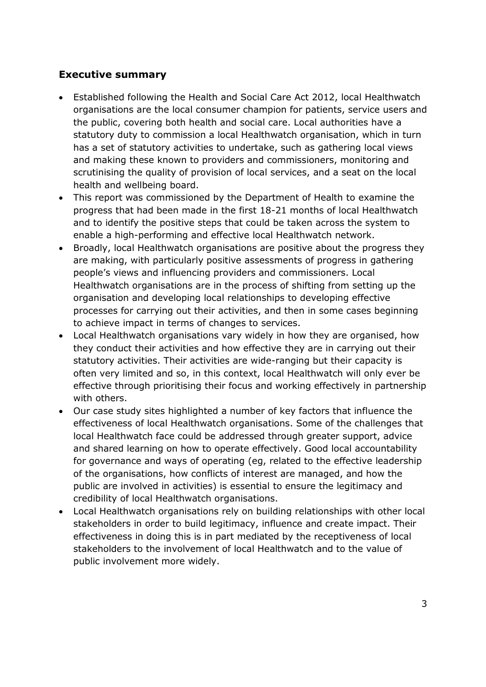# **Executive summary**

- Established following the Health and Social Care Act 2012, local Healthwatch organisations are the local consumer champion for patients, service users and the public, covering both health and social care. Local authorities have a statutory duty to commission a local Healthwatch organisation, which in turn has a set of statutory activities to undertake, such as gathering local views and making these known to providers and commissioners, monitoring and scrutinising the quality of provision of local services, and a seat on the local health and wellbeing board.
- This report was commissioned by the Department of Health to examine the progress that had been made in the first 18-21 months of local Healthwatch and to identify the positive steps that could be taken across the system to enable a high-performing and effective local Healthwatch network.
- Broadly, local Healthwatch organisations are positive about the progress they people's views and influencing providers and commissioners. Local Healthwatch organisations are in the process of shifting from setting up the organisation and developing local relationships to developing effective processes for carrying out their activities, and then in some cases beginning to achieve impact in terms of changes to services. are making, with particularly positive assessments of progress in gathering
- Local Healthwatch organisations vary widely in how they are organised, how they conduct their activities and how effective they are in carrying out their statutory activities. Their activities are wide-ranging but their capacity is often very limited and so, in this context, local Healthwatch will only ever be effective through prioritising their focus and working effectively in partnership with others.
- Our case study sites highlighted a number of key factors that influence the effectiveness of local Healthwatch organisations. Some of the challenges that and shared learning on how to operate effectively. Good local accountability for governance and ways of operating (eg, related to the effective leadership of the organisations, how conflicts of interest are managed, and how the public are involved in activities) is essential to ensure the legitimacy and credibility of local Healthwatch organisations. local Healthwatch face could be addressed through greater support, advice
- stakeholders in order to build legitimacy, influence and create impact. Their effectiveness in doing this is in part mediated by the receptiveness of local stakeholders to the involvement of local Healthwatch and to the value of Local Healthwatch organisations rely on building relationships with other local public involvement more widely.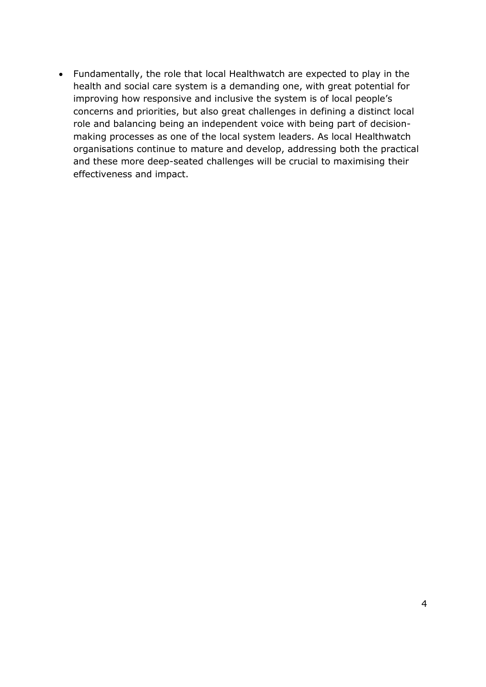Fundamentally, the role that local Healthwatch are expected to play in the health and social care system is a demanding one, with great potential for improving how responsive and inclusive the system is of local people's concerns and priorities, but also great challenges in defining a distinct local role and balancing being an independent voice with being part of decision- making processes as one of the local system leaders. As local Healthwatch organisations continue to mature and develop, addressing both the practical and these more deep-seated challenges will be crucial to maximising their effectiveness and impact.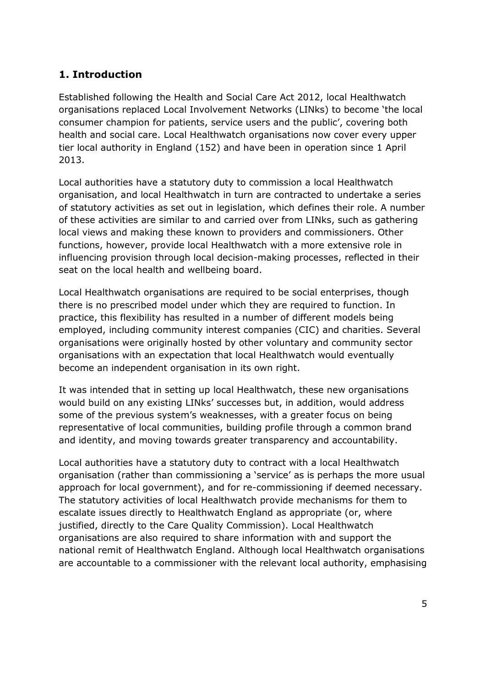# **1. Introduction**

 Established following the Health and Social Care Act 2012, local Healthwatch consumer champion for patients, service users and the public', covering both health and social care. Local Healthwatch organisations now cover every upper tier local authority in England (152) and have been in operation since 1 April organisations replaced Local Involvement Networks (LINks) to become 'the local 2013.

 Local authorities have a statutory duty to commission a local Healthwatch organisation, and local Healthwatch in turn are contracted to undertake a series of statutory activities as set out in legislation, which defines their role. A number of these activities are similar to and carried over from LINks, such as gathering local views and making these known to providers and commissioners. Other functions, however, provide local Healthwatch with a more extensive role in influencing provision through local decision-making processes, reflected in their seat on the local health and wellbeing board.

 Local Healthwatch organisations are required to be social enterprises, though there is no prescribed model under which they are required to function. In practice, this flexibility has resulted in a number of different models being employed, including community interest companies (CIC) and charities. Several organisations were originally hosted by other voluntary and community sector organisations with an expectation that local Healthwatch would eventually become an independent organisation in its own right.

 It was intended that in setting up local Healthwatch, these new organisations would build on any existing LINks' successes but, in addition, would address some of the previous system's weaknesses, with a greater focus on being representative of local communities, building profile through a common brand and identity, and moving towards greater transparency and accountability.

 Local authorities have a statutory duty to contract with a local Healthwatch organisation (rather than commissioning a 'service' as is perhaps the more usual approach for local government), and for re-commissioning if deemed necessary. The statutory activities of local Healthwatch provide mechanisms for them to escalate issues directly to Healthwatch England as appropriate (or, where justified, directly to the Care Quality Commission). Local Healthwatch organisations are also required to share information with and support the are accountable to a commissioner with the relevant local authority, emphasising national remit of Healthwatch England. Although local Healthwatch organisations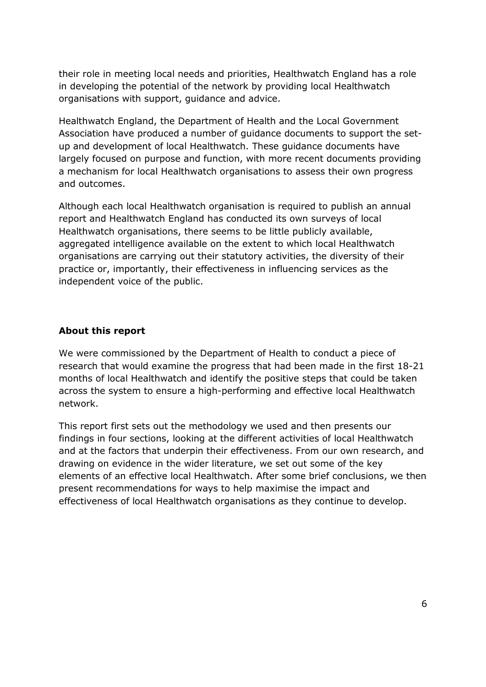their role in meeting local needs and priorities, Healthwatch England has a role in developing the potential of the network by providing local Healthwatch organisations with support, guidance and advice.

 Healthwatch England, the Department of Health and the Local Government Association have produced a number of guidance documents to support the set- up and development of local Healthwatch. These guidance documents have largely focused on purpose and function, with more recent documents providing a mechanism for local Healthwatch organisations to assess their own progress and outcomes.

 Although each local Healthwatch organisation is required to publish an annual Healthwatch organisations, there seems to be little publicly available, organisations are carrying out their statutory activities, the diversity of their practice or, importantly, their effectiveness in influencing services as the independent voice of the public. report and Healthwatch England has conducted its own surveys of local aggregated intelligence available on the extent to which local Healthwatch

## **About this report**

 We were commissioned by the Department of Health to conduct a piece of research that would examine the progress that had been made in the first 18-21 months of local Healthwatch and identify the positive steps that could be taken across the system to ensure a high-performing and effective local Healthwatch network.

 This report first sets out the methodology we used and then presents our findings in four sections, looking at the different activities of local Healthwatch and at the factors that underpin their effectiveness. From our own research, and drawing on evidence in the wider literature, we set out some of the key elements of an effective local Healthwatch. After some brief conclusions, we then effectiveness of local Healthwatch organisations as they continue to develop. present recommendations for ways to help maximise the impact and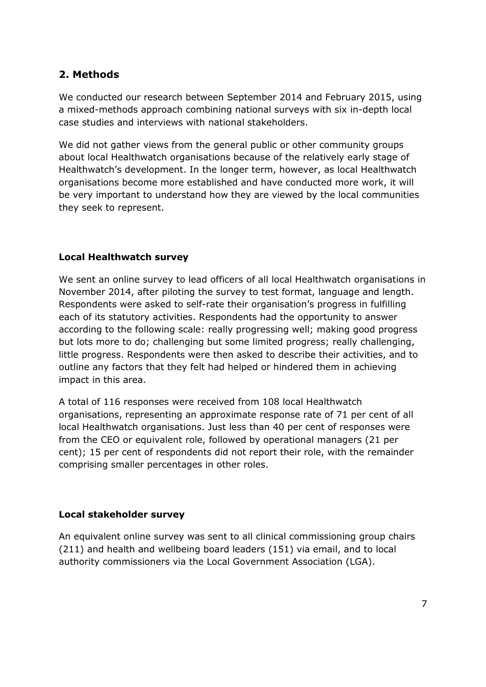# **2. Methods**

 We conducted our research between September 2014 and February 2015, using a mixed-methods approach combining national surveys with six in-depth local case studies and interviews with national stakeholders.

 We did not gather views from the general public or other community groups about local Healthwatch organisations because of the relatively early stage of Healthwatch's development. In the longer term, however, as local Healthwatch organisations become more established and have conducted more work, it will be very important to understand how they are viewed by the local communities they seek to represent.

## **Local Healthwatch survey**

 We sent an online survey to lead officers of all local Healthwatch organisations in November 2014, after piloting the survey to test format, language and length. each of its statutory activities. Respondents had the opportunity to answer according to the following scale: really progressing well; making good progress but lots more to do; challenging but some limited progress; really challenging, outline any factors that they felt had helped or hindered them in achieving Respondents were asked to self-rate their organisation's progress in fulfilling little progress. Respondents were then asked to describe their activities, and to impact in this area.

 A total of 116 responses were received from 108 local Healthwatch organisations, representing an approximate response rate of 71 per cent of all local Healthwatch organisations. Just less than 40 per cent of responses were from the CEO or equivalent role, followed by operational managers (21 per cent); 15 per cent of respondents did not report their role, with the remainder comprising smaller percentages in other roles.

## **Local stakeholder survey**

 An equivalent online survey was sent to all clinical commissioning group chairs (211) and health and wellbeing board leaders (151) via email, and to local authority commissioners via the Local Government Association (LGA).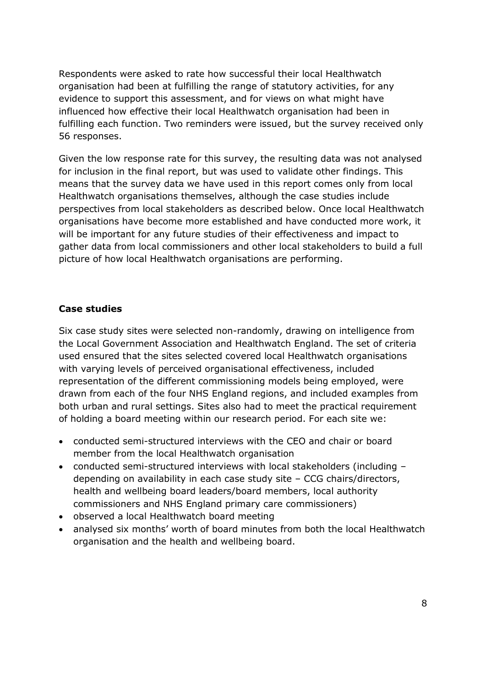Respondents were asked to rate how successful their local Healthwatch organisation had been at fulfilling the range of statutory activities, for any evidence to support this assessment, and for views on what might have influenced how effective their local Healthwatch organisation had been in fulfilling each function. Two reminders were issued, but the survey received only 56 responses.

56 responses.<br>Given the low response rate for this survey, the resulting data was not analysed for inclusion in the final report, but was used to validate other findings. This means that the survey data we have used in this report comes only from local perspectives from local stakeholders as described below. Once local Healthwatch organisations have become more established and have conducted more work, it will be important for any future studies of their effectiveness and impact to gather data from local commissioners and other local stakeholders to build a full picture of how local Healthwatch organisations are performing. Healthwatch organisations themselves, although the case studies include

## **Case studies**

 Six case study sites were selected non-randomly, drawing on intelligence from the Local Government Association and Healthwatch England. The set of criteria with varying levels of perceived organisational effectiveness, included of holding a board meeting within our research period. For each site we: used ensured that the sites selected covered local Healthwatch organisations representation of the different commissioning models being employed, were drawn from each of the four NHS England regions, and included examples from both urban and rural settings. Sites also had to meet the practical requirement

- conducted semi-structured interviews with the CEO and chair or board member from the local Healthwatch organisation
- conducted semi-structured interviews with local stakeholders (including depending on availability in each case study site – CCG chairs/directors, health and wellbeing board leaders/board members, local authority commissioners and NHS England primary care commissioners)
- observed a local Healthwatch board meeting
- analysed six months' worth of board minutes from both the local Healthwatch organisation and the health and wellbeing board.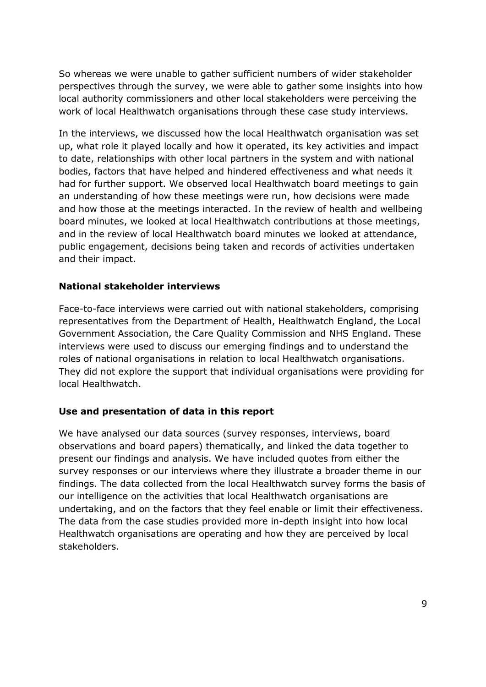local authority commissioners and other local stakeholders were perceiving the work of local Healthwatch organisations through these case study interviews. So whereas we were unable to gather sufficient numbers of wider stakeholder perspectives through the survey, we were able to gather some insights into how

 In the interviews, we discussed how the local Healthwatch organisation was set up, what role it played locally and how it operated, its key activities and impact to date, relationships with other local partners in the system and with national had for further support. We observed local Healthwatch board meetings to gain an understanding of how these meetings were run, how decisions were made and how those at the meetings interacted. In the review of health and wellbeing board minutes, we looked at local Healthwatch contributions at those meetings, and in the review of local Healthwatch board minutes we looked at attendance, and their impact. bodies, factors that have helped and hindered effectiveness and what needs it public engagement, decisions being taken and records of activities undertaken

#### **National stakeholder interviews**

 Face-to-face interviews were carried out with national stakeholders, comprising representatives from the Department of Health, Healthwatch England, the Local interviews were used to discuss our emerging findings and to understand the roles of national organisations in relation to local Healthwatch organisations. They did not explore the support that individual organisations were providing for Government Association, the Care Quality Commission and NHS England. These local Healthwatch.

#### **Use and presentation of data in this report**

 We have analysed our data sources (survey responses, interviews, board observations and board papers) thematically, and linked the data together to present our findings and analysis. We have included quotes from either the survey responses or our interviews where they illustrate a broader theme in our findings. The data collected from the local Healthwatch survey forms the basis of undertaking, and on the factors that they feel enable or limit their effectiveness. The data from the case studies provided more in-depth insight into how local Healthwatch organisations are operating and how they are perceived by local our intelligence on the activities that local Healthwatch organisations are stakeholders.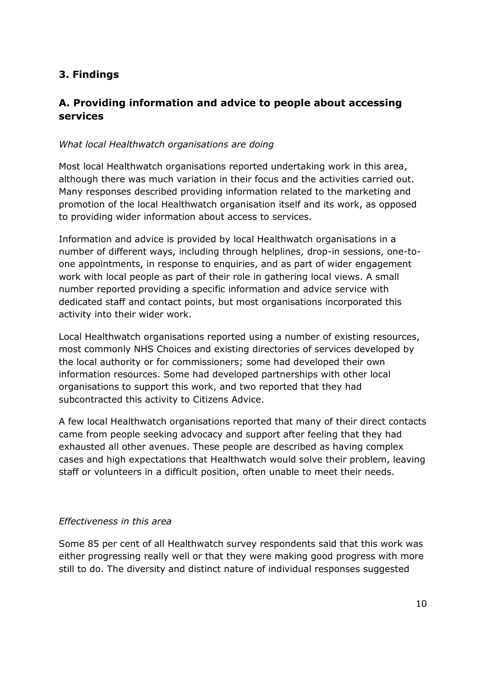# **3. Findings**

# **A. Providing information and advice to people about accessing services**

## *What local Healthwatch organisations are doing*

 Most local Healthwatch organisations reported undertaking work in this area, although there was much variation in their focus and the activities carried out. Many responses described providing information related to the marketing and promotion of the local Healthwatch organisation itself and its work, as opposed to providing wider information about access to services.

 Information and advice is provided by local Healthwatch organisations in a number of different ways, including through helplines, drop-in sessions, one-to- one appointments, in response to enquiries, and as part of wider engagement work with local people as part of their role in gathering local views. A small number reported providing a specific information and advice service with dedicated staff and contact points, but most organisations incorporated this activity into their wider work.

 Local Healthwatch organisations reported using a number of existing resources, most commonly NHS Choices and existing directories of services developed by the local authority or for commissioners; some had developed their own information resources. Some had developed partnerships with other local organisations to support this work, and two reported that they had subcontracted this activity to Citizens Advice.

 A few local Healthwatch organisations reported that many of their direct contacts came from people seeking advocacy and support after feeling that they had exhausted all other avenues. These people are described as having complex cases and high expectations that Healthwatch would solve their problem, leaving staff or volunteers in a difficult position, often unable to meet their needs.

#### *Effectiveness in this area*

 Some 85 per cent of all Healthwatch survey respondents said that this work was either progressing really well or that they were making good progress with more still to do. The diversity and distinct nature of individual responses suggested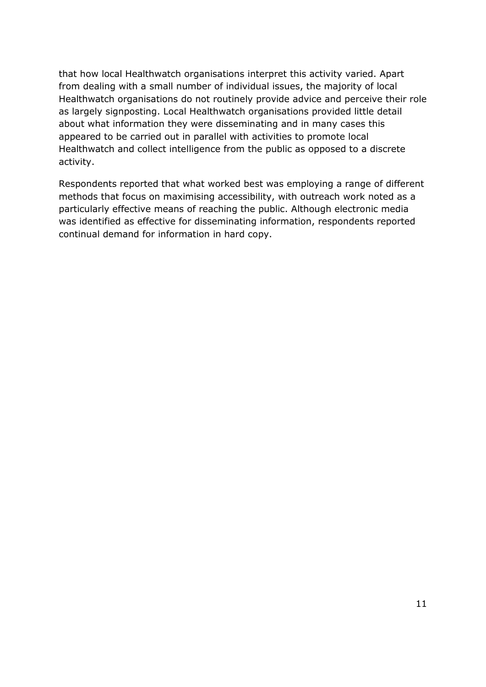that how local Healthwatch organisations interpret this activity varied. Apart from dealing with a small number of individual issues, the majority of local as largely signposting. Local Healthwatch organisations provided little detail about what information they were disseminating and in many cases this appeared to be carried out in parallel with activities to promote local Healthwatch and collect intelligence from the public as opposed to a discrete activity. Healthwatch organisations do not routinely provide advice and perceive their role

activity.<br>Respondents reported that what worked best was employing a range of different methods that focus on maximising accessibility, with outreach work noted as a was identified as effective for disseminating information, respondents reported continual demand for information in hard copy. particularly effective means of reaching the public. Although electronic media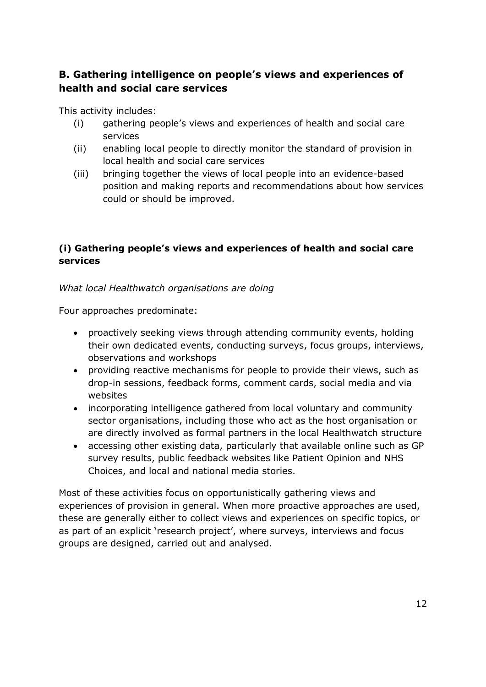# **B. Gathering intelligence on people's views and experiences of health and social care services**

This activity includes:

- (i) gathering people's views and experiences of health and social care services
- (ii) enabling local people to directly monitor the standard of provision in local health and social care services
- position and making reports and recommendations about how services could or should be improved. (iii) bringing together the views of local people into an evidence-based

# **(i) Gathering people's views and experiences of health and social care services**

## *What local Healthwatch organisations are doing*

Four approaches predominate:

- proactively seeking views through attending community events, holding their own dedicated events, conducting surveys, focus groups, interviews, observations and workshops
- providing reactive mechanisms for people to provide their views, such as drop-in sessions, feedback forms, comment cards, social media and via websites
- incorporating intelligence gathered from local voluntary and community sector organisations, including those who act as the host organisation or are directly involved as formal partners in the local Healthwatch structure
- accessing other existing data, particularly that available online such as GP survey results, public feedback websites like Patient Opinion and NHS Choices, and local and national media stories.

 Most of these activities focus on opportunistically gathering views and experiences of provision in general. When more proactive approaches are used, these are generally either to collect views and experiences on specific topics, or as part of an explicit 'research project', where surveys, interviews and focus groups are designed, carried out and analysed.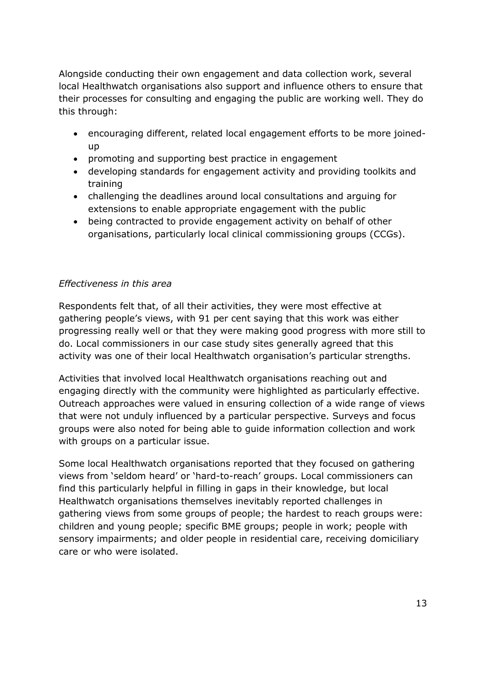Alongside conducting their own engagement and data collection work, several local Healthwatch organisations also support and influence others to ensure that their processes for consulting and engaging the public are working well. They do this through:

- encouraging different, related local engagement efforts to be more joinedup
- promoting and supporting best practice in engagement
- developing standards for engagement activity and providing toolkits and training
- challenging the deadlines around local consultations and arguing for extensions to enable appropriate engagement with the public
- being contracted to provide engagement activity on behalf of other organisations, particularly local clinical commissioning groups (CCGs).

## *Effectiveness in this area*

 Respondents felt that, of all their activities, they were most effective at gathering people's views, with 91 per cent saying that this work was either progressing really well or that they were making good progress with more still to do. Local commissioners in our case study sites generally agreed that this activity was one of their local Healthwatch organisation's particular strengths.

 Activities that involved local Healthwatch organisations reaching out and engaging directly with the community were highlighted as particularly effective. that were not unduly influenced by a particular perspective. Surveys and focus groups were also noted for being able to guide information collection and work with groups on a particular issue. Outreach approaches were valued in ensuring collection of a wide range of views

 Some local Healthwatch organisations reported that they focused on gathering views from 'seldom heard' or 'hard-to-reach' groups. Local commissioners can find this particularly helpful in filling in gaps in their knowledge, but local Healthwatch organisations themselves inevitably reported challenges in children and young people; specific BME groups; people in work; people with sensory impairments; and older people in residential care, receiving domiciliary gathering views from some groups of people; the hardest to reach groups were: care or who were isolated.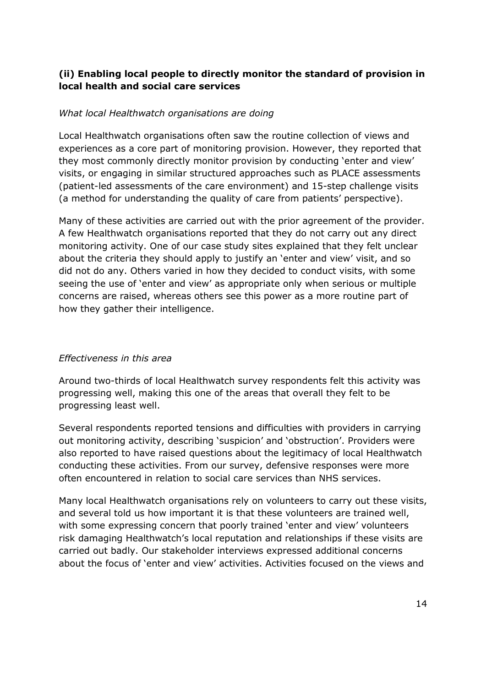## **(ii) Enabling local people to directly monitor the standard of provision in local health and social care services**

#### *What local Healthwatch organisations are doing*

 Local Healthwatch organisations often saw the routine collection of views and experiences as a core part of monitoring provision. However, they reported that they most commonly directly monitor provision by conducting 'enter and view' visits, or engaging in similar structured approaches such as PLACE assessments (patient-led assessments of the care environment) and 15-step challenge visits (a method for understanding the quality of care from patients' perspective).

 Many of these activities are carried out with the prior agreement of the provider. A few Healthwatch organisations reported that they do not carry out any direct monitoring activity. One of our case study sites explained that they felt unclear about the criteria they should apply to justify an 'enter and view' visit, and so did not do any. Others varied in how they decided to conduct visits, with some seeing the use of 'enter and view' as appropriate only when serious or multiple how they gather their intelligence. concerns are raised, whereas others see this power as a more routine part of

#### *Effectiveness in this area*

 Around two-thirds of local Healthwatch survey respondents felt this activity was progressing well, making this one of the areas that overall they felt to be progressing least well.

 out monitoring activity, describing 'suspicion' and 'obstruction'. Providers were also reported to have raised questions about the legitimacy of local Healthwatch conducting these activities. From our survey, defensive responses were more Several respondents reported tensions and difficulties with providers in carrying often encountered in relation to social care services than NHS services.

 Many local Healthwatch organisations rely on volunteers to carry out these visits, and several told us how important it is that these volunteers are trained well, with some expressing concern that poorly trained 'enter and view' volunteers risk damaging Healthwatch's local reputation and relationships if these visits are carried out badly. Our stakeholder interviews expressed additional concerns about the focus of 'enter and view' activities. Activities focused on the views and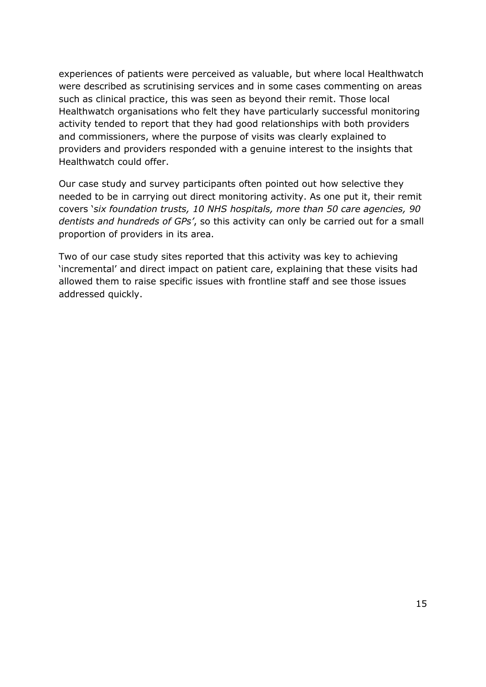experiences of patients were perceived as valuable, but where local Healthwatch were described as scrutinising services and in some cases commenting on areas such as clinical practice, this was seen as beyond their remit. Those local activity tended to report that they had good relationships with both providers and commissioners, where the purpose of visits was clearly explained to providers and providers responded with a genuine interest to the insights that Healthwatch could offer. Healthwatch organisations who felt they have particularly successful monitoring

 Our case study and survey participants often pointed out how selective they needed to be in carrying out direct monitoring activity. As one put it, their remit  covers '*six foundation trusts, 10 NHS hospitals, more than 50 care agencies, 90 dentists and hundreds of GPs'*, so this activity can only be carried out for a small proportion of providers in its area.

 Two of our case study sites reported that this activity was key to achieving 'incremental' and direct impact on patient care, explaining that these visits had allowed them to raise specific issues with frontline staff and see those issues addressed quickly.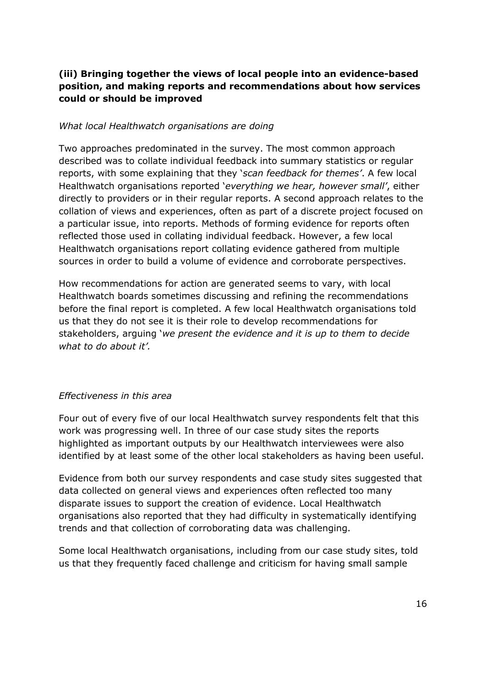## **(iii) Bringing together the views of local people into an evidence-based position, and making reports and recommendations about how services could or should be improved**

#### *What local Healthwatch organisations are doing*

 Two approaches predominated in the survey. The most common approach described was to collate individual feedback into summary statistics or regular reports, with some explaining that they '*scan feedback for themes'*. A few local  Healthwatch organisations reported '*everything we hear, however small'*, either directly to providers or in their regular reports. A second approach relates to the a particular issue, into reports. Methods of forming evidence for reports often reflected those used in collating individual feedback. However, a few local sources in order to build a volume of evidence and corroborate perspectives. collation of views and experiences, often as part of a discrete project focused on Healthwatch organisations report collating evidence gathered from multiple

 How recommendations for action are generated seems to vary, with local Healthwatch boards sometimes discussing and refining the recommendations before the final report is completed. A few local Healthwatch organisations told us that they do not see it is their role to develop recommendations for stakeholders, arguing '*we present the evidence and it is up to them to decide what to do about it'.* 

#### *Effectiveness in this area*

 Four out of every five of our local Healthwatch survey respondents felt that this work was progressing well. In three of our case study sites the reports highlighted as important outputs by our Healthwatch interviewees were also identified by at least some of the other local stakeholders as having been useful.

 Evidence from both our survey respondents and case study sites suggested that data collected on general views and experiences often reflected too many organisations also reported that they had difficulty in systematically identifying trends and that collection of corroborating data was challenging. disparate issues to support the creation of evidence. Local Healthwatch

 Some local Healthwatch organisations, including from our case study sites, told us that they frequently faced challenge and criticism for having small sample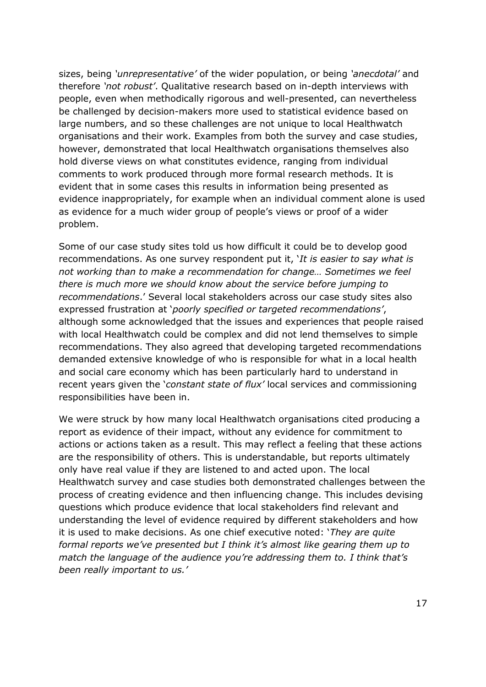people, even when methodically rigorous and well-presented, can nevertheless be challenged by decision-makers more used to statistical evidence based on large numbers, and so these challenges are not unique to local Healthwatch organisations and their work. Examples from both the survey and case studies, however, demonstrated that local Healthwatch organisations themselves also hold diverse views on what constitutes evidence, ranging from individual comments to work produced through more formal research methods. It is evident that in some cases this results in information being presented as evidence inappropriately, for example when an individual comment alone is used as evidence for a much wider group of people's views or proof of a wider problem. sizes, being *'unrepresentative'* of the wider population, or being *'anecdotal'* and therefore *'not robust'*. Qualitative research based on in-depth interviews with

problem.<br>Some of our case study sites told us how difficult it could be to develop good recommendations. As one survey respondent put it, '*It is easier to say what is there is much more we should know about the service before jumping to recommendations*.' Several local stakeholders across our case study sites also  expressed frustration at '*poorly specified or targeted recommendations'*, with local Healthwatch could be complex and did not lend themselves to simple recommendations. They also agreed that developing targeted recommendations demanded extensive knowledge of who is responsible for what in a local health and social care economy which has been particularly hard to understand in recent years given the '*constant state of flux'* local services and commissioning *not working than to make a recommendation for change… Sometimes we feel*  although some acknowledged that the issues and experiences that people raised responsibilities have been in.

 We were struck by how many local Healthwatch organisations cited producing a report as evidence of their impact, without any evidence for commitment to actions or actions taken as a result. This may reflect a feeling that these actions are the responsibility of others. This is understandable, but reports ultimately only have real value if they are listened to and acted upon. The local Healthwatch survey and case studies both demonstrated challenges between the process of creating evidence and then influencing change. This includes devising questions which produce evidence that local stakeholders find relevant and understanding the level of evidence required by different stakeholders and how it is used to make decisions. As one chief executive noted: '*They are quite formal reports we've presented but I think it's almost like gearing them up to match the language of the audience you're addressing them to. I think that's been really important to us.'*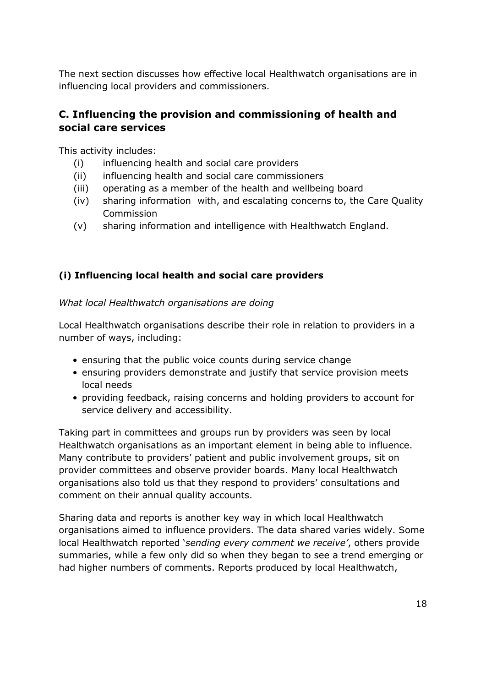influencing local providers and commissioners. The next section discusses how effective local Healthwatch organisations are in

# **C. Influencing the provision and commissioning of health and social care services**

This activity includes:

- (i) influencing health and social care providers
- (ii) influencing health and social care commissioners
- (iii) operating as a member of the health and wellbeing board
- (iv) sharing information with, and escalating concerns to, the Care Quality Commission
- Commission<br>(v) sharing information and intelligence with Healthwatch England.

# **(i) Influencing local health and social care providers**

*What local Healthwatch organisations are doing* 

 Local Healthwatch organisations describe their role in relation to providers in a number of ways, including:

- ensuring that the public voice counts during service change
- ensuring providers demonstrate and justify that service provision meets local needs
- providing feedback, raising concerns and holding providers to account for service delivery and accessibility.

 Taking part in committees and groups run by providers was seen by local Healthwatch organisations as an important element in being able to influence. Many contribute to providers' patient and public involvement groups, sit on provider committees and observe provider boards. Many local Healthwatch organisations also told us that they respond to providers' consultations and comment on their annual quality accounts.

 Sharing data and reports is another key way in which local Healthwatch organisations aimed to influence providers. The data shared varies widely. Some local Healthwatch reported '*sending every comment we receive'*, others provide summaries, while a few only did so when they began to see a trend emerging or had higher numbers of comments. Reports produced by local Healthwatch,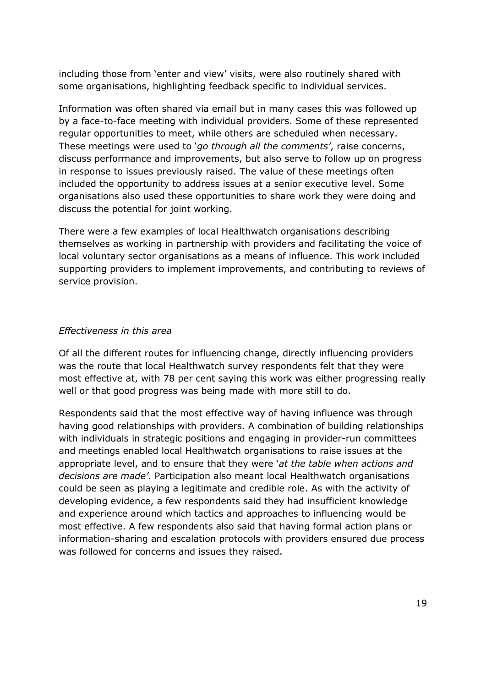including those from 'enter and view' visits, were also routinely shared with some organisations, highlighting feedback specific to individual services.

 Information was often shared via email but in many cases this was followed up by a face-to-face meeting with individual providers. Some of these represented These meetings were used to '*go through all the comments'*, raise concerns, discuss performance and improvements, but also serve to follow up on progress in response to issues previously raised. The value of these meetings often included the opportunity to address issues at a senior executive level. Some organisations also used these opportunities to share work they were doing and discuss the potential for joint working. regular opportunities to meet, while others are scheduled when necessary.

 There were a few examples of local Healthwatch organisations describing local voluntary sector organisations as a means of influence. This work included supporting providers to implement improvements, and contributing to reviews of themselves as working in partnership with providers and facilitating the voice of service provision.

#### *Effectiveness in this area*

 Of all the different routes for influencing change, directly influencing providers was the route that local Healthwatch survey respondents felt that they were most effective at, with 78 per cent saying this work was either progressing really well or that good progress was being made with more still to do.

 Respondents said that the most effective way of having influence was through having good relationships with providers. A combination of building relationships with individuals in strategic positions and engaging in provider-run committees and meetings enabled local Healthwatch organisations to raise issues at the appropriate level, and to ensure that they were '*at the table when actions and decisions are made'.* Participation also meant local Healthwatch organisations could be seen as playing a legitimate and credible role. As with the activity of developing evidence, a few respondents said they had insufficient knowledge and experience around which tactics and approaches to influencing would be most effective. A few respondents also said that having formal action plans or information-sharing and escalation protocols with providers ensured due process was followed for concerns and issues they raised.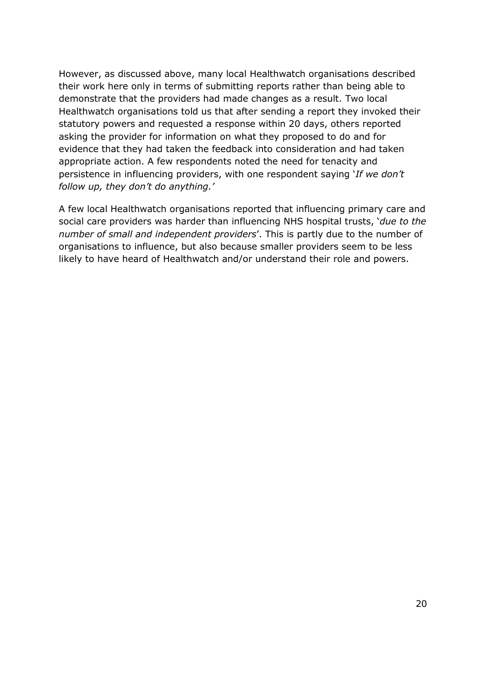However, as discussed above, many local Healthwatch organisations described their work here only in terms of submitting reports rather than being able to demonstrate that the providers had made changes as a result. Two local Healthwatch organisations told us that after sending a report they invoked their statutory powers and requested a response within 20 days, others reported asking the provider for information on what they proposed to do and for evidence that they had taken the feedback into consideration and had taken appropriate action. A few respondents noted the need for tenacity and persistence in influencing providers, with one respondent saying '*If we don't follow up, they don't do anything.'* 

 A few local Healthwatch organisations reported that influencing primary care and  *number of small and independent providers*'. This is partly due to the number of organisations to influence, but also because smaller providers seem to be less likely to have heard of Healthwatch and/or understand their role and powers. social care providers was harder than influencing NHS hospital trusts, '*due to the*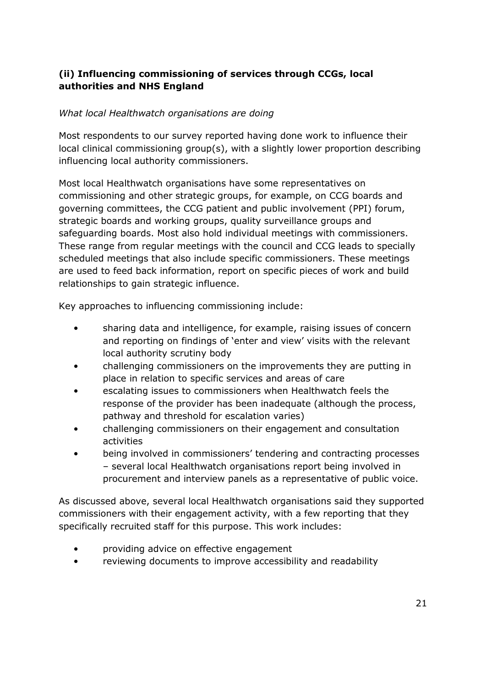## **(ii) Influencing commissioning of services through CCGs, local authorities and NHS England**

## *What local Healthwatch organisations are doing*

 Most respondents to our survey reported having done work to influence their local clinical commissioning group(s), with a slightly lower proportion describing influencing local authority commissioners.

 commissioning and other strategic groups, for example, on CCG boards and governing committees, the CCG patient and public involvement (PPI) forum, strategic boards and working groups, quality surveillance groups and safeguarding boards. Most also hold individual meetings with commissioners. These range from regular meetings with the council and CCG leads to specially are used to feed back information, report on specific pieces of work and build Most local Healthwatch organisations have some representatives on scheduled meetings that also include specific commissioners. These meetings relationships to gain strategic influence.

Key approaches to influencing commissioning include:

- • sharing data and intelligence, for example, raising issues of concern and reporting on findings of 'enter and view' visits with the relevant local authority scrutiny body
- place in relation to specific services and areas of care • challenging commissioners on the improvements they are putting in
- • escalating issues to commissioners when Healthwatch feels the pathway and threshold for escalation varies) response of the provider has been inadequate (although the process,
- • challenging commissioners on their engagement and consultation activities
- being involved in commissioners' tendering and contracting processes – several local Healthwatch organisations report being involved in procurement and interview panels as a representative of public voice.

 As discussed above, several local Healthwatch organisations said they supported commissioners with their engagement activity, with a few reporting that they specifically recruited staff for this purpose. This work includes:

- providing advice on effective engagement
- reviewing documents to improve accessibility and readability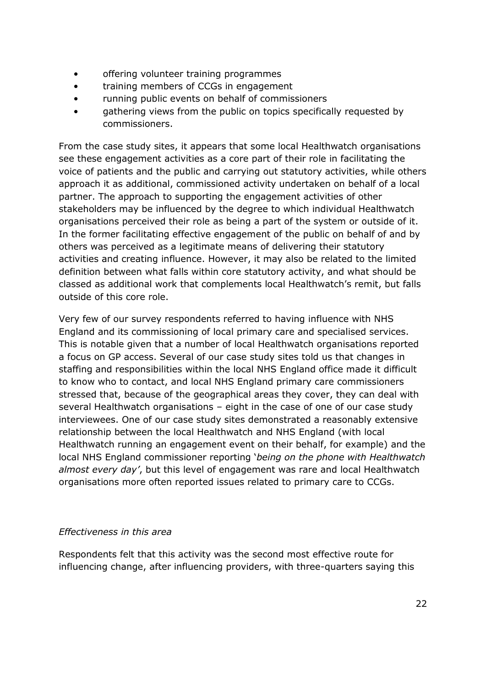- • offering volunteer training programmes
- • training members of CCGs in engagement
- • running public events on behalf of commissioners
- gathering views from the public on topics specifically requested by commissioners.

 From the case study sites, it appears that some local Healthwatch organisations voice of patients and the public and carrying out statutory activities, while others approach it as additional, commissioned activity undertaken on behalf of a local organisations perceived their role as being a part of the system or outside of it. In the former facilitating effective engagement of the public on behalf of and by others was perceived as a legitimate means of delivering their statutory activities and creating influence. However, it may also be related to the limited definition between what falls within core statutory activity, and what should be classed as additional work that complements local Healthwatch's remit, but falls see these engagement activities as a core part of their role in facilitating the partner. The approach to supporting the engagement activities of other stakeholders may be influenced by the degree to which individual Healthwatch outside of this core role.

 Very few of our survey respondents referred to having influence with NHS England and its commissioning of local primary care and specialised services. a focus on GP access. Several of our case study sites told us that changes in staffing and responsibilities within the local NHS England office made it difficult to know who to contact, and local NHS England primary care commissioners stressed that, because of the geographical areas they cover, they can deal with several Healthwatch organisations – eight in the case of one of our case study interviewees. One of our case study sites demonstrated a reasonably extensive relationship between the local Healthwatch and NHS England (with local Healthwatch running an engagement event on their behalf, for example) and the local NHS England commissioner reporting '*being on the phone with Healthwatch almost every day'*, but this level of engagement was rare and local Healthwatch organisations more often reported issues related to primary care to CCGs. This is notable given that a number of local Healthwatch organisations reported

## *Effectiveness in this area*

 influencing change, after influencing providers, with three-quarters saying this Respondents felt that this activity was the second most effective route for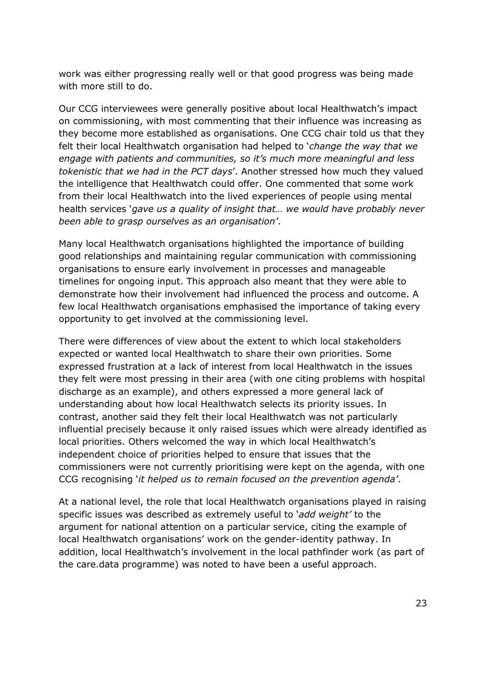work was either progressing really well or that good progress was being made with more still to do.

 Our CCG interviewees were generally positive about local Healthwatch's impact on commissioning, with most commenting that their influence was increasing as they become more established as organisations. One CCG chair told us that they felt their local Healthwatch organisation had helped to '*change the way that we engage with patients and communities, so it's much more meaningful and less tokenistic that we had in the PCT days*'. Another stressed how much they valued the intelligence that Healthwatch could offer. One commented that some work from their local Healthwatch into the lived experiences of people using mental health services '*gave us a quality of insight that… we would have probably never been able to grasp ourselves as an organisation'*.

 Many local Healthwatch organisations highlighted the importance of building good relationships and maintaining regular communication with commissioning organisations to ensure early involvement in processes and manageable timelines for ongoing input. This approach also meant that they were able to demonstrate how their involvement had influenced the process and outcome. A few local Healthwatch organisations emphasised the importance of taking every opportunity to get involved at the commissioning level.

 expected or wanted local Healthwatch to share their own priorities. Some expressed frustration at a lack of interest from local Healthwatch in the issues they felt were most pressing in their area (with one citing problems with hospital discharge as an example), and others expressed a more general lack of understanding about how local Healthwatch selects its priority issues. In contrast, another said they felt their local Healthwatch was not particularly influential precisely because it only raised issues which were already identified as local priorities. Others welcomed the way in which local Healthwatch's independent choice of priorities helped to ensure that issues that the commissioners were not currently prioritising were kept on the agenda, with one  CCG recognising '*it helped us to remain focused on the prevention agenda'*. There were differences of view about the extent to which local stakeholders

 At a national level, the role that local Healthwatch organisations played in raising specific issues was described as extremely useful to '*add weight'* to the argument for national attention on a particular service, citing the example of addition, local Healthwatch's involvement in the local pathfinder work (as part of the care.data programme) was noted to have been a useful approach. local Healthwatch organisations' work on the gender-identity pathway. In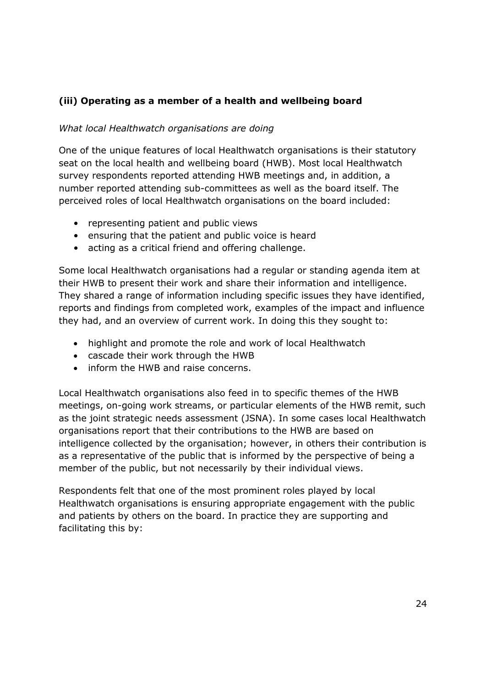## **(iii) Operating as a member of a health and wellbeing board**

## *What local Healthwatch organisations are doing*

 One of the unique features of local Healthwatch organisations is their statutory seat on the local health and wellbeing board (HWB). Most local Healthwatch survey respondents reported attending HWB meetings and, in addition, a number reported attending sub-committees as well as the board itself. The perceived roles of local Healthwatch organisations on the board included:

- representing patient and public views
- ensuring that the patient and public voice is heard
- acting as a critical friend and offering challenge.

 Some local Healthwatch organisations had a regular or standing agenda item at their HWB to present their work and share their information and intelligence. They shared a range of information including specific issues they have identified, they had, and an overview of current work. In doing this they sought to: reports and findings from completed work, examples of the impact and influence

- highlight and promote the role and work of local Healthwatch
- cascade their work through the HWB
- inform the HWB and raise concerns.

 Local Healthwatch organisations also feed in to specific themes of the HWB meetings, on-going work streams, or particular elements of the HWB remit, such as the joint strategic needs assessment (JSNA). In some cases local Healthwatch intelligence collected by the organisation; however, in others their contribution is as a representative of the public that is informed by the perspective of being a member of the public, but not necessarily by their individual views. organisations report that their contributions to the HWB are based on

 Respondents felt that one of the most prominent roles played by local Healthwatch organisations is ensuring appropriate engagement with the public and patients by others on the board. In practice they are supporting and facilitating this by: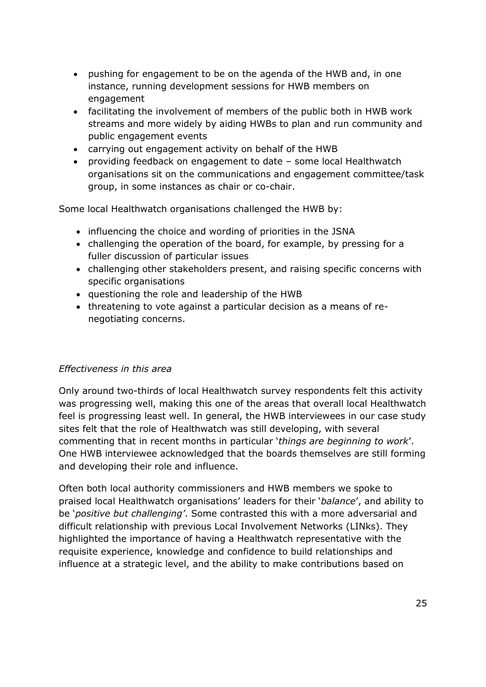- pushing for engagement to be on the agenda of the HWB and, in one instance, running development sessions for HWB members on engagement
- facilitating the involvement of members of the public both in HWB work streams and more widely by aiding HWBs to plan and run community and public engagement events
- carrying out engagement activity on behalf of the HWB
- providing feedback on engagement to date some local Healthwatch group, in some instances as chair or co-chair. organisations sit on the communications and engagement committee/task

Some local Healthwatch organisations challenged the HWB by:

- influencing the choice and wording of priorities in the JSNA
- challenging the operation of the board, for example, by pressing for a fuller discussion of particular issues
- challenging other stakeholders present, and raising specific concerns with specific organisations
- questioning the role and leadership of the HWB
- threatening to vote against a particular decision as a means of re-negotiating concerns.

#### *Effectiveness in this area*

 Only around two-thirds of local Healthwatch survey respondents felt this activity was progressing well, making this one of the areas that overall local Healthwatch feel is progressing least well. In general, the HWB interviewees in our case study sites felt that the role of Healthwatch was still developing, with several commenting that in recent months in particular '*things are beginning to work*'. and developing their role and influence. One HWB interviewee acknowledged that the boards themselves are still forming

 Often both local authority commissioners and HWB members we spoke to be '*positive but challenging'*. Some contrasted this with a more adversarial and difficult relationship with previous Local Involvement Networks (LINks). They highlighted the importance of having a Healthwatch representative with the influence at a strategic level, and the ability to make contributions based on praised local Healthwatch organisations' leaders for their '*balance*', and ability to requisite experience, knowledge and confidence to build relationships and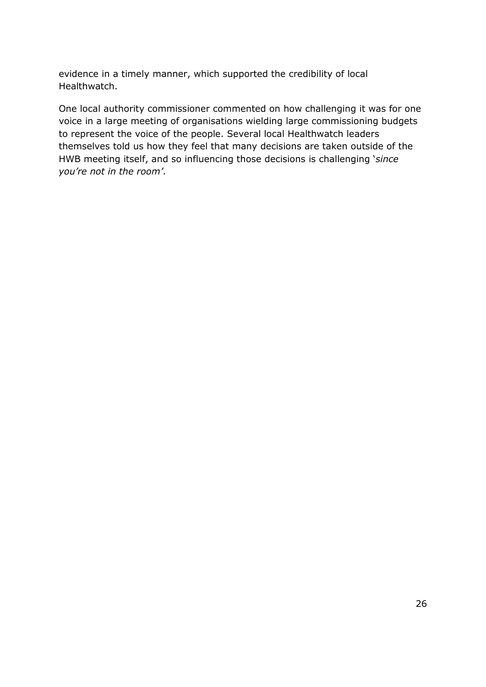evidence in a timely manner, which supported the credibility of local Healthwatch.

 One local authority commissioner commented on how challenging it was for one voice in a large meeting of organisations wielding large commissioning budgets to represent the voice of the people. Several local Healthwatch leaders themselves told us how they feel that many decisions are taken outside of the HWB meeting itself, and so influencing those decisions is challenging '*since you're not in the room'*.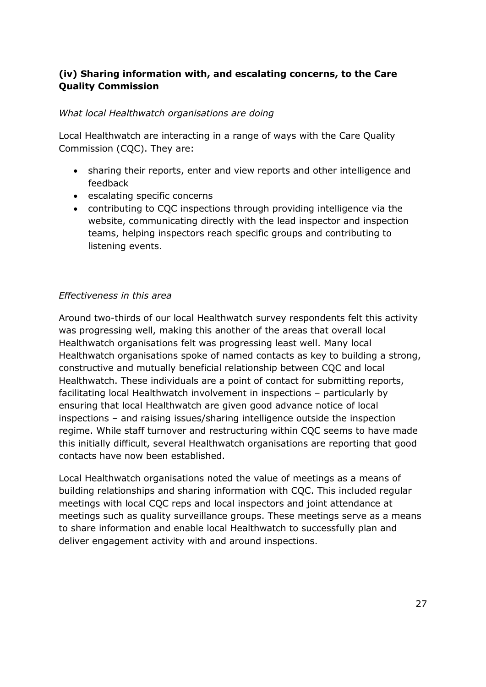## **(iv) Sharing information with, and escalating concerns, to the Care Quality Commission**

## *What local Healthwatch organisations are doing*

 Local Healthwatch are interacting in a range of ways with the Care Quality Commission (CQC). They are:

- sharing their reports, enter and view reports and other intelligence and feedback
- escalating specific concerns
- website, communicating directly with the lead inspector and inspection teams, helping inspectors reach specific groups and contributing to listening events. contributing to CQC inspections through providing intelligence via the

## *Effectiveness in this area*

 Around two-thirds of our local Healthwatch survey respondents felt this activity was progressing well, making this another of the areas that overall local Healthwatch organisations felt was progressing least well. Many local Healthwatch organisations spoke of named contacts as key to building a strong, constructive and mutually beneficial relationship between CQC and local Healthwatch. These individuals are a point of contact for submitting reports, facilitating local Healthwatch involvement in inspections – particularly by ensuring that local Healthwatch are given good advance notice of local inspections – and raising issues/sharing intelligence outside the inspection this initially difficult, several Healthwatch organisations are reporting that good regime. While staff turnover and restructuring within CQC seems to have made contacts have now been established.

 building relationships and sharing information with CQC. This included regular meetings with local CQC reps and local inspectors and joint attendance at meetings such as quality surveillance groups. These meetings serve as a means to share information and enable local Healthwatch to successfully plan and deliver engagement activity with and around inspections. Local Healthwatch organisations noted the value of meetings as a means of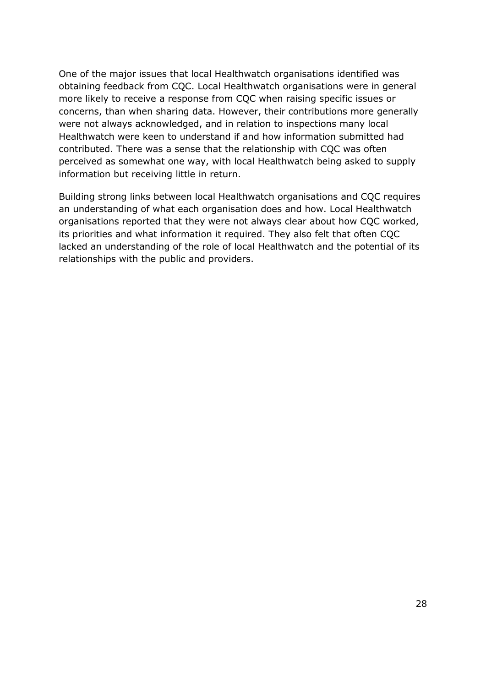obtaining feedback from CQC. Local Healthwatch organisations were in general more likely to receive a response from CQC when raising specific issues or concerns, than when sharing data. However, their contributions more generally were not always acknowledged, and in relation to inspections many local Healthwatch were keen to understand if and how information submitted had perceived as somewhat one way, with local Healthwatch being asked to supply information but receiving little in return. One of the major issues that local Healthwatch organisations identified was contributed. There was a sense that the relationship with CQC was often

 Building strong links between local Healthwatch organisations and CQC requires an understanding of what each organisation does and how. Local Healthwatch organisations reported that they were not always clear about how CQC worked, its priorities and what information it required. They also felt that often CQC lacked an understanding of the role of local Healthwatch and the potential of its relationships with the public and providers. relationships with the public and providers.<br>
28<br>
28<br>
28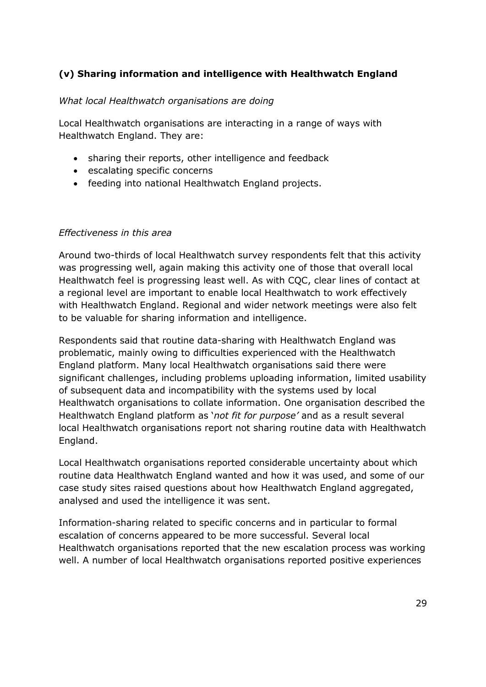## **(v) Sharing information and intelligence with Healthwatch England**

#### *What local Healthwatch organisations are doing*

 Local Healthwatch organisations are interacting in a range of ways with Healthwatch England. They are:

- sharing their reports, other intelligence and feedback
- escalating specific concerns
- feeding into national Healthwatch England projects.

#### *Effectiveness in this area*

 Around two-thirds of local Healthwatch survey respondents felt that this activity was progressing well, again making this activity one of those that overall local Healthwatch feel is progressing least well. As with CQC, clear lines of contact at a regional level are important to enable local Healthwatch to work effectively with Healthwatch England. Regional and wider network meetings were also felt to be valuable for sharing information and intelligence.

 Respondents said that routine data-sharing with Healthwatch England was problematic, mainly owing to difficulties experienced with the Healthwatch England platform. Many local Healthwatch organisations said there were significant challenges, including problems uploading information, limited usability of subsequent data and incompatibility with the systems used by local Healthwatch England platform as '*not fit for purpose'* and as a result several local Healthwatch organisations report not sharing routine data with Healthwatch Healthwatch organisations to collate information. One organisation described the England.

 Local Healthwatch organisations reported considerable uncertainty about which routine data Healthwatch England wanted and how it was used, and some of our case study sites raised questions about how Healthwatch England aggregated, analysed and used the intelligence it was sent.

 Information-sharing related to specific concerns and in particular to formal escalation of concerns appeared to be more successful. Several local Healthwatch organisations reported that the new escalation process was working well. A number of local Healthwatch organisations reported positive experiences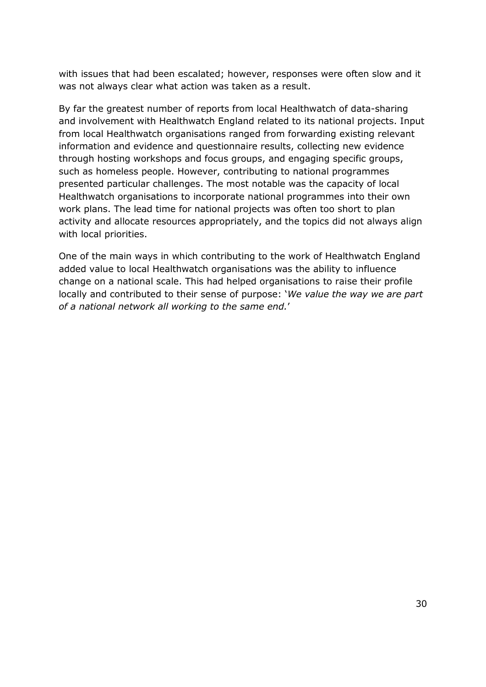with issues that had been escalated; however, responses were often slow and it was not always clear what action was taken as a result.

 By far the greatest number of reports from local Healthwatch of data-sharing and involvement with Healthwatch England related to its national projects. Input from local Healthwatch organisations ranged from forwarding existing relevant information and evidence and questionnaire results, collecting new evidence through hosting workshops and focus groups, and engaging specific groups, such as homeless people. However, contributing to national programmes presented particular challenges. The most notable was the capacity of local Healthwatch organisations to incorporate national programmes into their own work plans. The lead time for national projects was often too short to plan activity and allocate resources appropriately, and the topics did not always align with local priorities.

 One of the main ways in which contributing to the work of Healthwatch England change on a national scale. This had helped organisations to raise their profile locally and contributed to their sense of purpose: '*We value the way we are part*  added value to local Healthwatch organisations was the ability to influence *of a national network all working to the same end.*'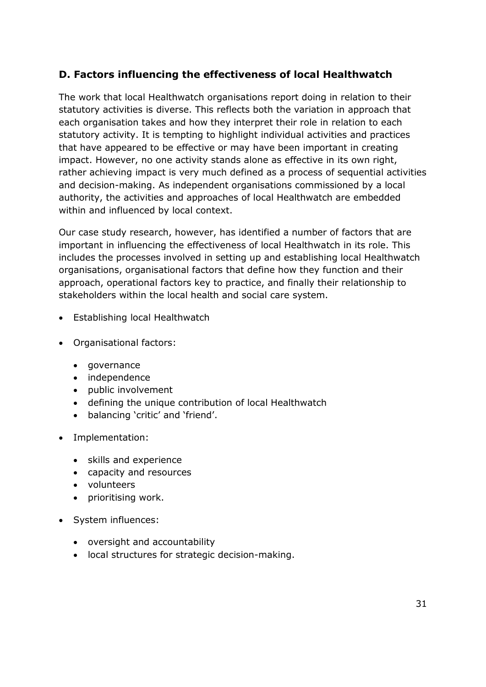# **D. Factors influencing the effectiveness of local Healthwatch**

 The work that local Healthwatch organisations report doing in relation to their statutory activities is diverse. This reflects both the variation in approach that each organisation takes and how they interpret their role in relation to each statutory activity. It is tempting to highlight individual activities and practices that have appeared to be effective or may have been important in creating impact. However, no one activity stands alone as effective in its own right, rather achieving impact is very much defined as a process of sequential activities and decision-making. As independent organisations commissioned by a local authority, the activities and approaches of local Healthwatch are embedded within and influenced by local context.

 Our case study research, however, has identified a number of factors that are important in influencing the effectiveness of local Healthwatch in its role. This includes the processes involved in setting up and establishing local Healthwatch organisations, organisational factors that define how they function and their approach, operational factors key to practice, and finally their relationship to stakeholders within the local health and social care system.

- Establishing local Healthwatch
- Organisational factors:
	- governance
	- independence
	- public involvement
	- defining the unique contribution of local Healthwatch
	- balancing 'critic' and 'friend'.
- Implementation:
	- skills and experience
	- capacity and resources
	- volunteers
	- prioritising work.
- System influences:
	- oversight and accountability
	- local structures for strategic decision-making.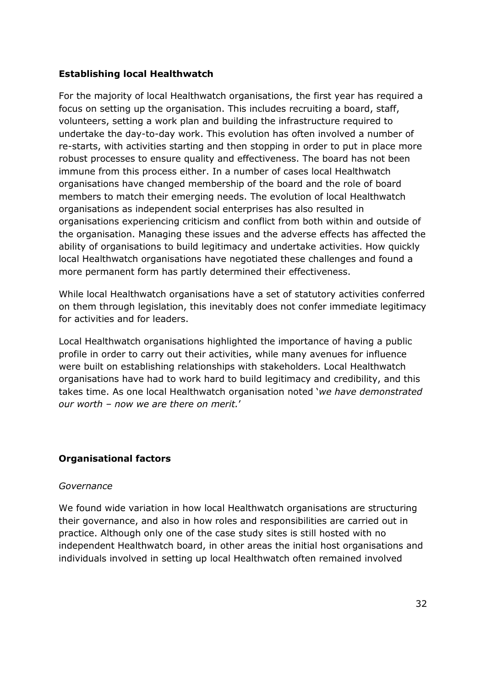## **Establishing local Healthwatch**

 For the majority of local Healthwatch organisations, the first year has required a focus on setting up the organisation. This includes recruiting a board, staff, volunteers, setting a work plan and building the infrastructure required to undertake the day-to-day work. This evolution has often involved a number of re-starts, with activities starting and then stopping in order to put in place more robust processes to ensure quality and effectiveness. The board has not been immune from this process either. In a number of cases local Healthwatch organisations have changed membership of the board and the role of board members to match their emerging needs. The evolution of local Healthwatch organisations experiencing criticism and conflict from both within and outside of the organisation. Managing these issues and the adverse effects has affected the ability of organisations to build legitimacy and undertake activities. How quickly local Healthwatch organisations have negotiated these challenges and found a more permanent form has partly determined their effectiveness. organisations as independent social enterprises has also resulted in

 While local Healthwatch organisations have a set of statutory activities conferred on them through legislation, this inevitably does not confer immediate legitimacy for activities and for leaders.

 Local Healthwatch organisations highlighted the importance of having a public profile in order to carry out their activities, while many avenues for influence were built on establishing relationships with stakeholders. Local Healthwatch organisations have had to work hard to build legitimacy and credibility, and this  *our worth – now we are there on merit.*' takes time. As one local Healthwatch organisation noted '*we have demonstrated* 

## **Organisational factors**

#### *Governance*

 We found wide variation in how local Healthwatch organisations are structuring their governance, and also in how roles and responsibilities are carried out in practice. Although only one of the case study sites is still hosted with no independent Healthwatch board, in other areas the initial host organisations and individuals involved in setting up local Healthwatch often remained involved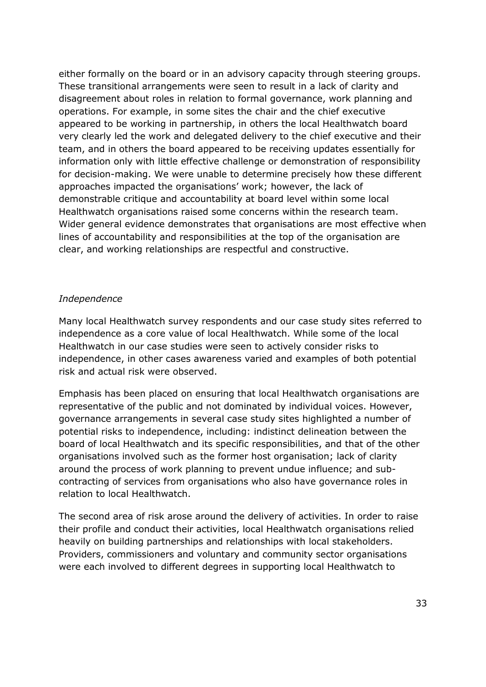either formally on the board or in an advisory capacity through steering groups. These transitional arrangements were seen to result in a lack of clarity and disagreement about roles in relation to formal governance, work planning and operations. For example, in some sites the chair and the chief executive appeared to be working in partnership, in others the local Healthwatch board very clearly led the work and delegated delivery to the chief executive and their team, and in others the board appeared to be receiving updates essentially for information only with little effective challenge or demonstration of responsibility for decision-making. We were unable to determine precisely how these different approaches impacted the organisations' work; however, the lack of demonstrable critique and accountability at board level within some local lines of accountability and responsibilities at the top of the organisation are clear, and working relationships are respectful and constructive. Healthwatch organisations raised some concerns within the research team. Wider general evidence demonstrates that organisations are most effective when

#### *Independence*

 Many local Healthwatch survey respondents and our case study sites referred to independence as a core value of local Healthwatch. While some of the local Healthwatch in our case studies were seen to actively consider risks to independence, in other cases awareness varied and examples of both potential risk and actual risk were observed.

 Emphasis has been placed on ensuring that local Healthwatch organisations are representative of the public and not dominated by individual voices. However, governance arrangements in several case study sites highlighted a number of potential risks to independence, including: indistinct delineation between the board of local Healthwatch and its specific responsibilities, and that of the other organisations involved such as the former host organisation; lack of clarity around the process of work planning to prevent undue influence; and sub- contracting of services from organisations who also have governance roles in relation to local Healthwatch.

 The second area of risk arose around the delivery of activities. In order to raise their profile and conduct their activities, local Healthwatch organisations relied heavily on building partnerships and relationships with local stakeholders. Providers, commissioners and voluntary and community sector organisations were each involved to different degrees in supporting local Healthwatch to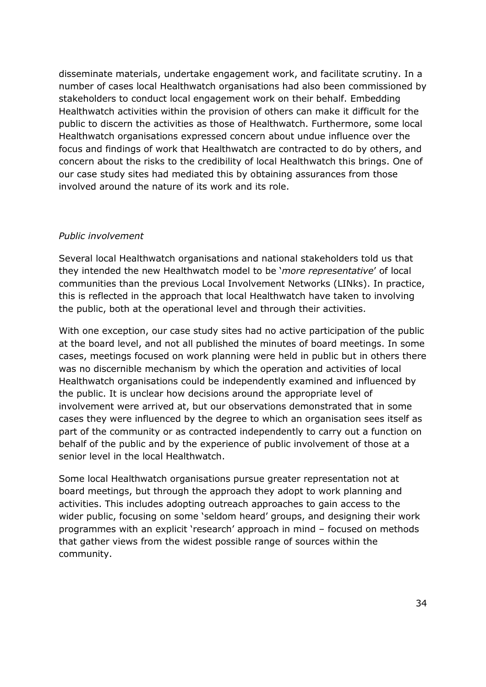disseminate materials, undertake engagement work, and facilitate scrutiny. In a stakeholders to conduct local engagement work on their behalf. Embedding focus and findings of work that Healthwatch are contracted to do by others, and concern about the risks to the credibility of local Healthwatch this brings. One of our case study sites had mediated this by obtaining assurances from those involved around the nature of its work and its role. number of cases local Healthwatch organisations had also been commissioned by Healthwatch activities within the provision of others can make it difficult for the public to discern the activities as those of Healthwatch. Furthermore, some local Healthwatch organisations expressed concern about undue influence over the

#### *Public involvement*

 Several local Healthwatch organisations and national stakeholders told us that they intended the new Healthwatch model to be '*more representative*' of local this is reflected in the approach that local Healthwatch have taken to involving the public, both at the operational level and through their activities. communities than the previous Local Involvement Networks (LINks). In practice,

 With one exception, our case study sites had no active participation of the public at the board level, and not all published the minutes of board meetings. In some cases, meetings focused on work planning were held in public but in others there was no discernible mechanism by which the operation and activities of local Healthwatch organisations could be independently examined and influenced by the public. It is unclear how decisions around the appropriate level of involvement were arrived at, but our observations demonstrated that in some part of the community or as contracted independently to carry out a function on behalf of the public and by the experience of public involvement of those at a cases they were influenced by the degree to which an organisation sees itself as senior level in the local Healthwatch.

 Some local Healthwatch organisations pursue greater representation not at board meetings, but through the approach they adopt to work planning and activities. This includes adopting outreach approaches to gain access to the wider public, focusing on some 'seldom heard' groups, and designing their work programmes with an explicit 'research' approach in mind – focused on methods that gather views from the widest possible range of sources within the community. community.<br>34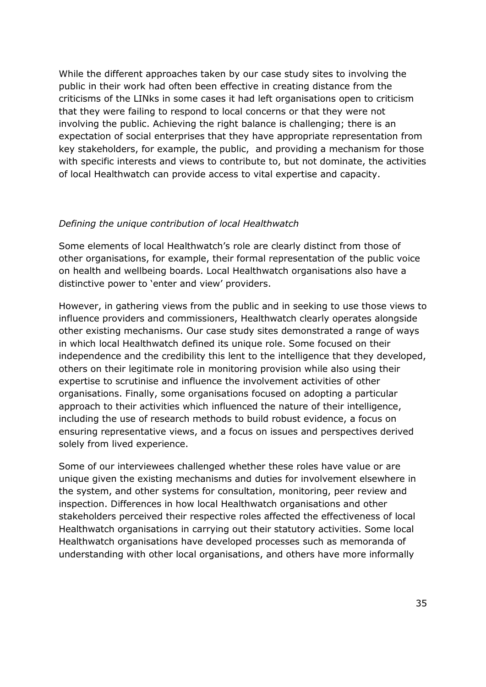While the different approaches taken by our case study sites to involving the public in their work had often been effective in creating distance from the criticisms of the LINks in some cases it had left organisations open to criticism that they were failing to respond to local concerns or that they were not involving the public. Achieving the right balance is challenging; there is an expectation of social enterprises that they have appropriate representation from key stakeholders, for example, the public, and providing a mechanism for those with specific interests and views to contribute to, but not dominate, the activities of local Healthwatch can provide access to vital expertise and capacity.

#### *Defining the unique contribution of local Healthwatch*

 Some elements of local Healthwatch's role are clearly distinct from those of other organisations, for example, their formal representation of the public voice on health and wellbeing boards. Local Healthwatch organisations also have a distinctive power to 'enter and view' providers.

 However, in gathering views from the public and in seeking to use those views to influence providers and commissioners, Healthwatch clearly operates alongside other existing mechanisms. Our case study sites demonstrated a range of ways in which local Healthwatch defined its unique role. Some focused on their independence and the credibility this lent to the intelligence that they developed, others on their legitimate role in monitoring provision while also using their organisations. Finally, some organisations focused on adopting a particular approach to their activities which influenced the nature of their intelligence, including the use of research methods to build robust evidence, a focus on ensuring representative views, and a focus on issues and perspectives derived solely from lived experience. expertise to scrutinise and influence the involvement activities of other

 Some of our interviewees challenged whether these roles have value or are unique given the existing mechanisms and duties for involvement elsewhere in the system, and other systems for consultation, monitoring, peer review and inspection. Differences in how local Healthwatch organisations and other stakeholders perceived their respective roles affected the effectiveness of local Healthwatch organisations in carrying out their statutory activities. Some local understanding with other local organisations, and others have more informally Healthwatch organisations have developed processes such as memoranda of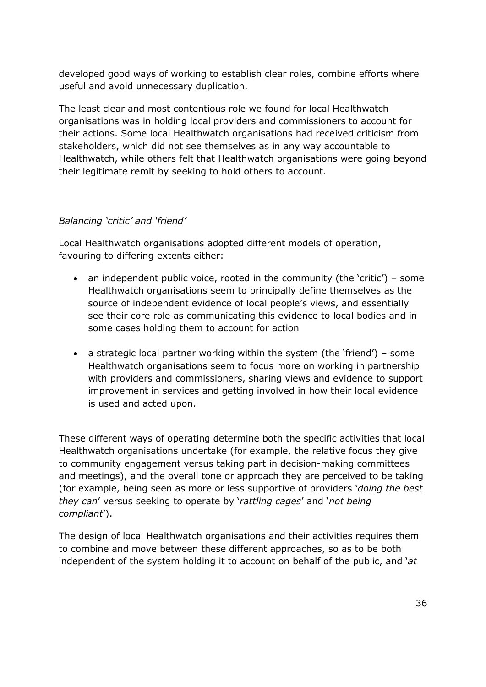developed good ways of working to establish clear roles, combine efforts where useful and avoid unnecessary duplication.

 The least clear and most contentious role we found for local Healthwatch organisations was in holding local providers and commissioners to account for their actions. Some local Healthwatch organisations had received criticism from stakeholders, which did not see themselves as in any way accountable to Healthwatch, while others felt that Healthwatch organisations were going beyond their legitimate remit by seeking to hold others to account.

#### *Balancing 'critic' and 'friend'*

 favouring to differing extents either: Local Healthwatch organisations adopted different models of operation,

- an independent public voice, rooted in the community (the 'critic') some Healthwatch organisations seem to principally define themselves as the source of independent evidence of local people's views, and essentially see their core role as communicating this evidence to local bodies and in some cases holding them to account for action
- a strategic local partner working within the system (the 'friend') some with providers and commissioners, sharing views and evidence to support improvement in services and getting involved in how their local evidence is used and acted upon. Healthwatch organisations seem to focus more on working in partnership

 and meetings), and the overall tone or approach they are perceived to be taking (for example, being seen as more or less supportive of providers '*doing the best*  These different ways of operating determine both the specific activities that local Healthwatch organisations undertake (for example, the relative focus they give to community engagement versus taking part in decision-making committees *they can*' versus seeking to operate by '*rattling cages*' and '*not being compliant*').

 The design of local Healthwatch organisations and their activities requires them to combine and move between these different approaches, so as to be both independent of the system holding it to account on behalf of the public, and '*at*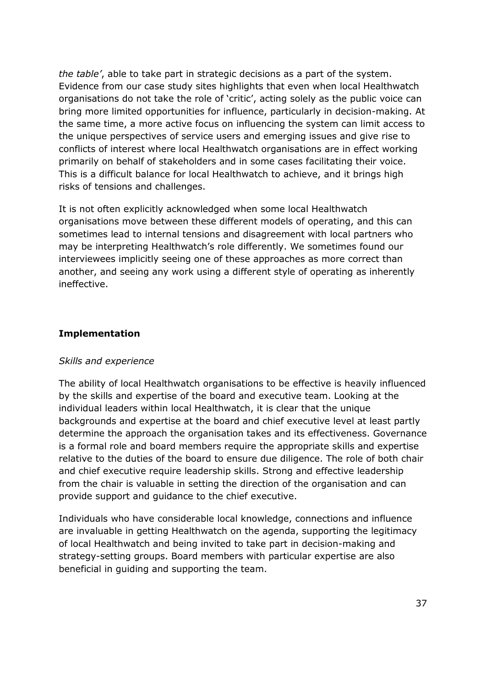*the table'*, able to take part in strategic decisions as a part of the system. Evidence from our case study sites highlights that even when local Healthwatch organisations do not take the role of 'critic', acting solely as the public voice can bring more limited opportunities for influence, particularly in decision-making. At the unique perspectives of service users and emerging issues and give rise to primarily on behalf of stakeholders and in some cases facilitating their voice. This is a difficult balance for local Healthwatch to achieve, and it brings high the same time, a more active focus on influencing the system can limit access to conflicts of interest where local Healthwatch organisations are in effect working risks of tensions and challenges.

 sometimes lead to internal tensions and disagreement with local partners who may be interpreting Healthwatch's role differently. We sometimes found our interviewees implicitly seeing one of these approaches as more correct than another, and seeing any work using a different style of operating as inherently It is not often explicitly acknowledged when some local Healthwatch organisations move between these different models of operating, and this can ineffective.

#### **Implementation**

#### *Skills and experience*

 The ability of local Healthwatch organisations to be effective is heavily influenced by the skills and expertise of the board and executive team. Looking at the individual leaders within local Healthwatch, it is clear that the unique backgrounds and expertise at the board and chief executive level at least partly determine the approach the organisation takes and its effectiveness. Governance is a formal role and board members require the appropriate skills and expertise relative to the duties of the board to ensure due diligence. The role of both chair and chief executive require leadership skills. Strong and effective leadership from the chair is valuable in setting the direction of the organisation and can provide support and guidance to the chief executive.

 of local Healthwatch and being invited to take part in decision-making and strategy-setting groups. Board members with particular expertise are also beneficial in guiding and supporting the team. Individuals who have considerable local knowledge, connections and influence are invaluable in getting Healthwatch on the agenda, supporting the legitimacy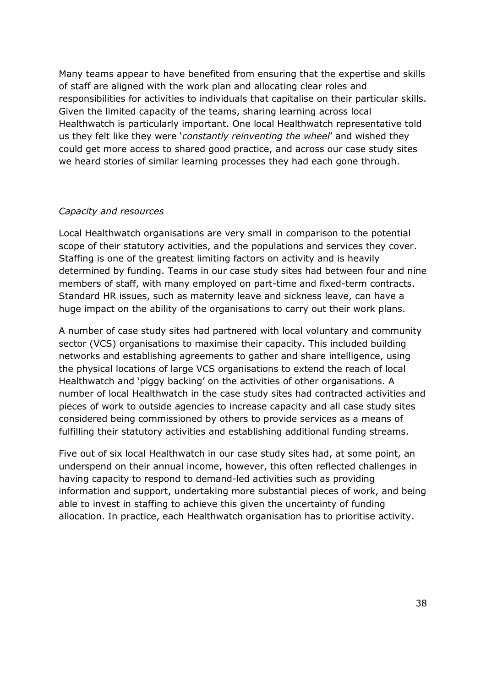Many teams appear to have benefited from ensuring that the expertise and skills of staff are aligned with the work plan and allocating clear roles and responsibilities for activities to individuals that capitalise on their particular skills. Given the limited capacity of the teams, sharing learning across local Healthwatch is particularly important. One local Healthwatch representative told us they felt like they were '*constantly reinventing the wheel*' and wished they could get more access to shared good practice, and across our case study sites we heard stories of similar learning processes they had each gone through.

#### *Capacity and resources*

 Local Healthwatch organisations are very small in comparison to the potential scope of their statutory activities, and the populations and services they cover. Staffing is one of the greatest limiting factors on activity and is heavily determined by funding. Teams in our case study sites had between four and nine members of staff, with many employed on part-time and fixed-term contracts. Standard HR issues, such as maternity leave and sickness leave, can have a huge impact on the ability of the organisations to carry out their work plans.

 A number of case study sites had partnered with local voluntary and community sector (VCS) organisations to maximise their capacity. This included building networks and establishing agreements to gather and share intelligence, using Healthwatch and 'piggy backing' on the activities of other organisations. A number of local Healthwatch in the case study sites had contracted activities and pieces of work to outside agencies to increase capacity and all case study sites considered being commissioned by others to provide services as a means of fulfilling their statutory activities and establishing additional funding streams. the physical locations of large VCS organisations to extend the reach of local

 Five out of six local Healthwatch in our case study sites had, at some point, an underspend on their annual income, however, this often reflected challenges in having capacity to respond to demand-led activities such as providing information and support, undertaking more substantial pieces of work, and being able to invest in staffing to achieve this given the uncertainty of funding allocation. In practice, each Healthwatch organisation has to prioritise activity.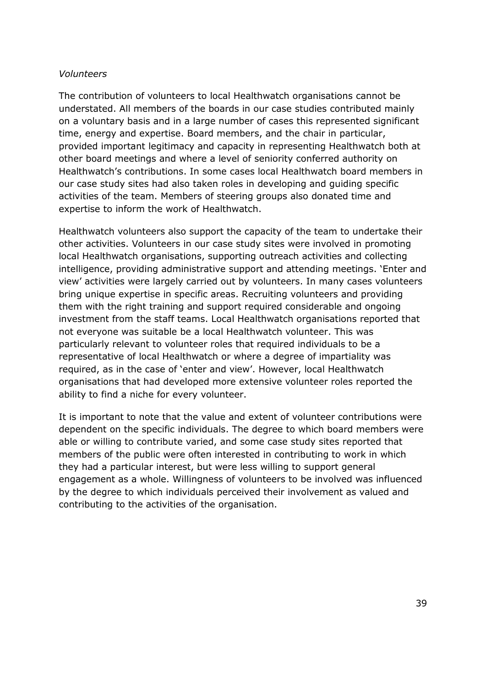#### *Volunteers*

 understated. All members of the boards in our case studies contributed mainly on a voluntary basis and in a large number of cases this represented significant time, energy and expertise. Board members, and the chair in particular, provided important legitimacy and capacity in representing Healthwatch both at other board meetings and where a level of seniority conferred authority on Healthwatch's contributions. In some cases local Healthwatch board members in our case study sites had also taken roles in developing and guiding specific activities of the team. Members of steering groups also donated time and expertise to inform the work of Healthwatch. The contribution of volunteers to local Healthwatch organisations cannot be

 Healthwatch volunteers also support the capacity of the team to undertake their local Healthwatch organisations, supporting outreach activities and collecting intelligence, providing administrative support and attending meetings. 'Enter and view' activities were largely carried out by volunteers. In many cases volunteers bring unique expertise in specific areas. Recruiting volunteers and providing them with the right training and support required considerable and ongoing investment from the staff teams. Local Healthwatch organisations reported that not everyone was suitable be a local Healthwatch volunteer. This was particularly relevant to volunteer roles that required individuals to be a representative of local Healthwatch or where a degree of impartiality was required, as in the case of 'enter and view'. However, local Healthwatch organisations that had developed more extensive volunteer roles reported the ability to find a niche for every volunteer. other activities. Volunteers in our case study sites were involved in promoting

 dependent on the specific individuals. The degree to which board members were able or willing to contribute varied, and some case study sites reported that members of the public were often interested in contributing to work in which they had a particular interest, but were less willing to support general engagement as a whole. Willingness of volunteers to be involved was influenced by the degree to which individuals perceived their involvement as valued and It is important to note that the value and extent of volunteer contributions were contributing to the activities of the organisation.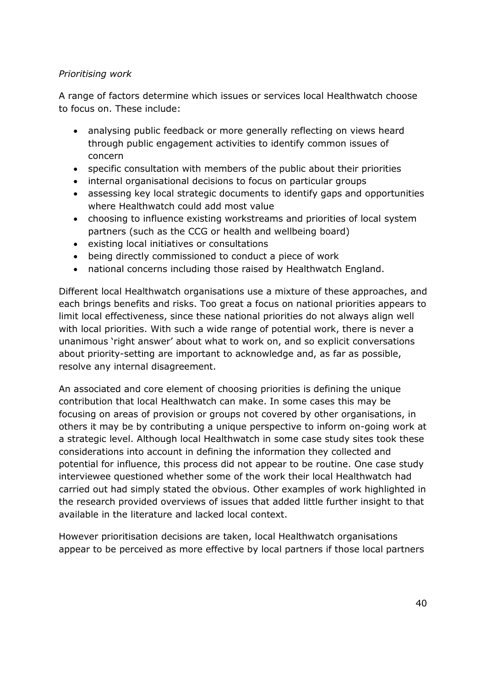## *Prioritising work*

 A range of factors determine which issues or services local Healthwatch choose to focus on. These include:

- analysing public feedback or more generally reflecting on views heard through public engagement activities to identify common issues of concern
- specific consultation with members of the public about their priorities
- internal organisational decisions to focus on particular groups
- assessing key local strategic documents to identify gaps and opportunities where Healthwatch could add most value
- choosing to influence existing workstreams and priorities of local system partners (such as the CCG or health and wellbeing board)
- existing local initiatives or consultations
- being directly commissioned to conduct a piece of work
- national concerns including those raised by Healthwatch England.

 Different local Healthwatch organisations use a mixture of these approaches, and each brings benefits and risks. Too great a focus on national priorities appears to limit local effectiveness, since these national priorities do not always align well with local priorities. With such a wide range of potential work, there is never a unanimous 'right answer' about what to work on, and so explicit conversations about priority-setting are important to acknowledge and, as far as possible, resolve any internal disagreement.

 An associated and core element of choosing priorities is defining the unique contribution that local Healthwatch can make. In some cases this may be focusing on areas of provision or groups not covered by other organisations, in others it may be by contributing a unique perspective to inform on-going work at a strategic level. Although local Healthwatch in some case study sites took these considerations into account in defining the information they collected and potential for influence, this process did not appear to be routine. One case study interviewee questioned whether some of the work their local Healthwatch had carried out had simply stated the obvious. Other examples of work highlighted in available in the literature and lacked local context. the research provided overviews of issues that added little further insight to that

 However prioritisation decisions are taken, local Healthwatch organisations appear to be perceived as more effective by local partners if those local partners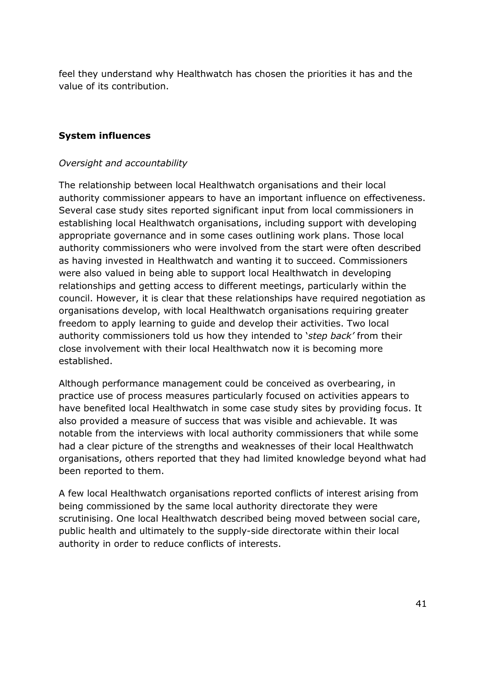feel they understand why Healthwatch has chosen the priorities it has and the value of its contribution.

## **System influences**

#### *Oversight and accountability*

 The relationship between local Healthwatch organisations and their local Several case study sites reported significant input from local commissioners in establishing local Healthwatch organisations, including support with developing appropriate governance and in some cases outlining work plans. Those local as having invested in Healthwatch and wanting it to succeed. Commissioners were also valued in being able to support local Healthwatch in developing relationships and getting access to different meetings, particularly within the council. However, it is clear that these relationships have required negotiation as organisations develop, with local Healthwatch organisations requiring greater freedom to apply learning to guide and develop their activities. Two local authority commissioners told us how they intended to '*step back'* from their close involvement with their local Healthwatch now it is becoming more established. authority commissioner appears to have an important influence on effectiveness. authority commissioners who were involved from the start were often described

established.<br>Although performance management could be conceived as overbearing, in practice use of process measures particularly focused on activities appears to have benefited local Healthwatch in some case study sites by providing focus. It notable from the interviews with local authority commissioners that while some had a clear picture of the strengths and weaknesses of their local Healthwatch organisations, others reported that they had limited knowledge beyond what had been reported to them. also provided a measure of success that was visible and achievable. It was

 A few local Healthwatch organisations reported conflicts of interest arising from being commissioned by the same local authority directorate they were scrutinising. One local Healthwatch described being moved between social care, public health and ultimately to the supply-side directorate within their local authority in order to reduce conflicts of interests.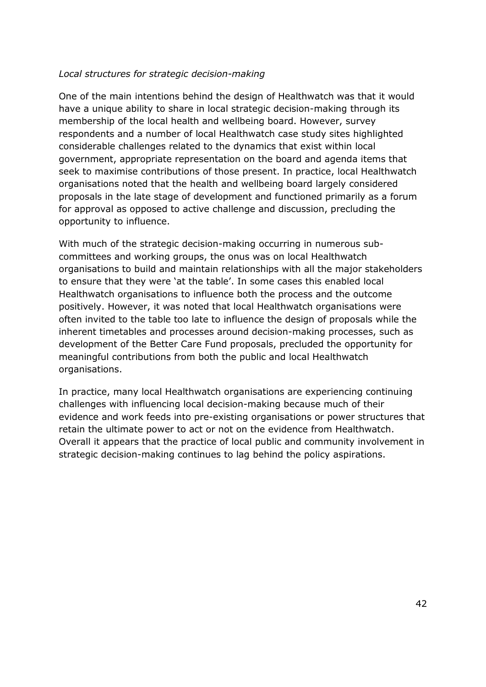## *Local structures for strategic decision-making*

 membership of the local health and wellbeing board. However, survey respondents and a number of local Healthwatch case study sites highlighted government, appropriate representation on the board and agenda items that seek to maximise contributions of those present. In practice, local Healthwatch organisations noted that the health and wellbeing board largely considered proposals in the late stage of development and functioned primarily as a forum for approval as opposed to active challenge and discussion, precluding the One of the main intentions behind the design of Healthwatch was that it would have a unique ability to share in local strategic decision-making through its considerable challenges related to the dynamics that exist within local opportunity to influence.

 With much of the strategic decision-making occurring in numerous sub- committees and working groups, the onus was on local Healthwatch organisations to build and maintain relationships with all the major stakeholders to ensure that they were 'at the table'. In some cases this enabled local Healthwatch organisations to influence both the process and the outcome positively. However, it was noted that local Healthwatch organisations were inherent timetables and processes around decision-making processes, such as development of the Better Care Fund proposals, precluded the opportunity for meaningful contributions from both the public and local Healthwatch often invited to the table too late to influence the design of proposals while the organisations.

 In practice, many local Healthwatch organisations are experiencing continuing challenges with influencing local decision-making because much of their evidence and work feeds into pre-existing organisations or power structures that Overall it appears that the practice of local public and community involvement in strategic decision-making continues to lag behind the policy aspirations. retain the ultimate power to act or not on the evidence from Healthwatch.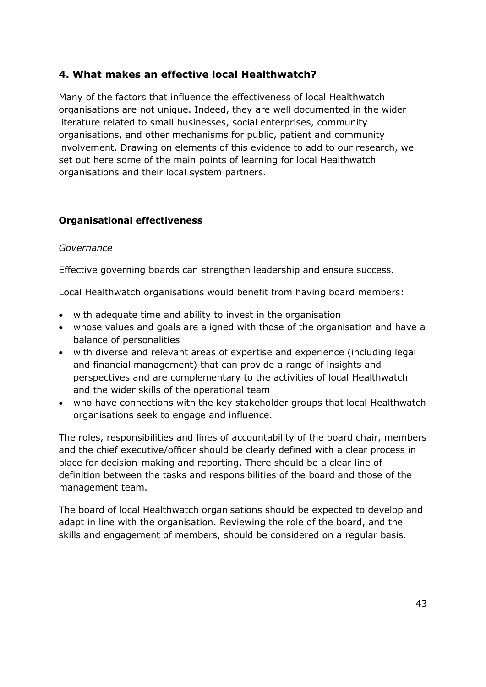# **4. What makes an effective local Healthwatch?**

 Many of the factors that influence the effectiveness of local Healthwatch organisations are not unique. Indeed, they are well documented in the wider literature related to small businesses, social enterprises, community organisations, and other mechanisms for public, patient and community involvement. Drawing on elements of this evidence to add to our research, we set out here some of the main points of learning for local Healthwatch organisations and their local system partners.

## **Organisational effectiveness**

## *Governance*

Effective governing boards can strengthen leadership and ensure success.

Local Healthwatch organisations would benefit from having board members:

- with adequate time and ability to invest in the organisation
- whose values and goals are aligned with those of the organisation and have a balance of personalities
- with diverse and relevant areas of expertise and experience (including legal and financial management) that can provide a range of insights and perspectives and are complementary to the activities of local Healthwatch and the wider skills of the operational team
- who have connections with the key stakeholder groups that local Healthwatch organisations seek to engage and influence.

 The roles, responsibilities and lines of accountability of the board chair, members and the chief executive/officer should be clearly defined with a clear process in place for decision-making and reporting. There should be a clear line of definition between the tasks and responsibilities of the board and those of the management team.

 The board of local Healthwatch organisations should be expected to develop and adapt in line with the organisation. Reviewing the role of the board, and the skills and engagement of members, should be considered on a regular basis.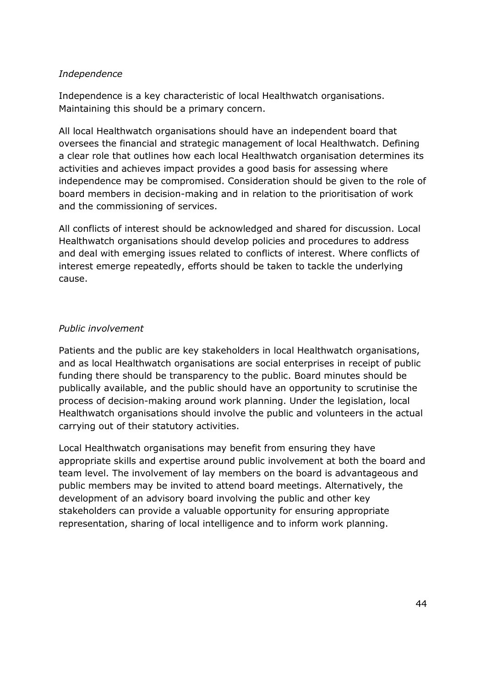#### *Independence*

 Independence is a key characteristic of local Healthwatch organisations. Maintaining this should be a primary concern.

 All local Healthwatch organisations should have an independent board that oversees the financial and strategic management of local Healthwatch. Defining a clear role that outlines how each local Healthwatch organisation determines its activities and achieves impact provides a good basis for assessing where board members in decision-making and in relation to the prioritisation of work and the commissioning of services. independence may be compromised. Consideration should be given to the role of

and the commissioning of services.<br>All conflicts of interest should be acknowledged and shared for discussion. Local and deal with emerging issues related to conflicts of interest. Where conflicts of interest emerge repeatedly, efforts should be taken to tackle the underlying Healthwatch organisations should develop policies and procedures to address cause.

## *Public involvement*

 and as local Healthwatch organisations are social enterprises in receipt of public funding there should be transparency to the public. Board minutes should be publically available, and the public should have an opportunity to scrutinise the process of decision-making around work planning. Under the legislation, local carrying out of their statutory activities. Patients and the public are key stakeholders in local Healthwatch organisations, Healthwatch organisations should involve the public and volunteers in the actual

 Local Healthwatch organisations may benefit from ensuring they have appropriate skills and expertise around public involvement at both the board and team level. The involvement of lay members on the board is advantageous and public members may be invited to attend board meetings. Alternatively, the development of an advisory board involving the public and other key stakeholders can provide a valuable opportunity for ensuring appropriate representation, sharing of local intelligence and to inform work planning.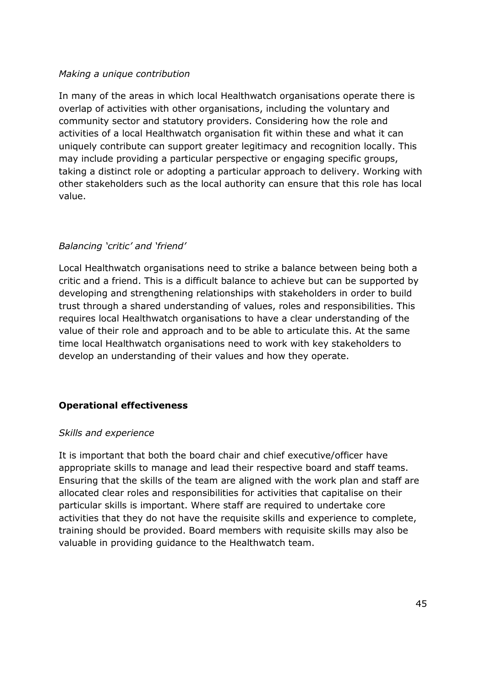#### *Making a unique contribution*

 In many of the areas in which local Healthwatch organisations operate there is overlap of activities with other organisations, including the voluntary and community sector and statutory providers. Considering how the role and activities of a local Healthwatch organisation fit within these and what it can uniquely contribute can support greater legitimacy and recognition locally. This may include providing a particular perspective or engaging specific groups, taking a distinct role or adopting a particular approach to delivery. Working with other stakeholders such as the local authority can ensure that this role has local value.

## *Balancing 'critic' and 'friend'*

 Local Healthwatch organisations need to strike a balance between being both a critic and a friend. This is a difficult balance to achieve but can be supported by developing and strengthening relationships with stakeholders in order to build trust through a shared understanding of values, roles and responsibilities. This requires local Healthwatch organisations to have a clear understanding of the value of their role and approach and to be able to articulate this. At the same time local Healthwatch organisations need to work with key stakeholders to develop an understanding of their values and how they operate.

## **Operational effectiveness**

#### *Skills and experience*

 It is important that both the board chair and chief executive/officer have appropriate skills to manage and lead their respective board and staff teams. Ensuring that the skills of the team are aligned with the work plan and staff are allocated clear roles and responsibilities for activities that capitalise on their particular skills is important. Where staff are required to undertake core activities that they do not have the requisite skills and experience to complete, training should be provided. Board members with requisite skills may also be valuable in providing guidance to the Healthwatch team.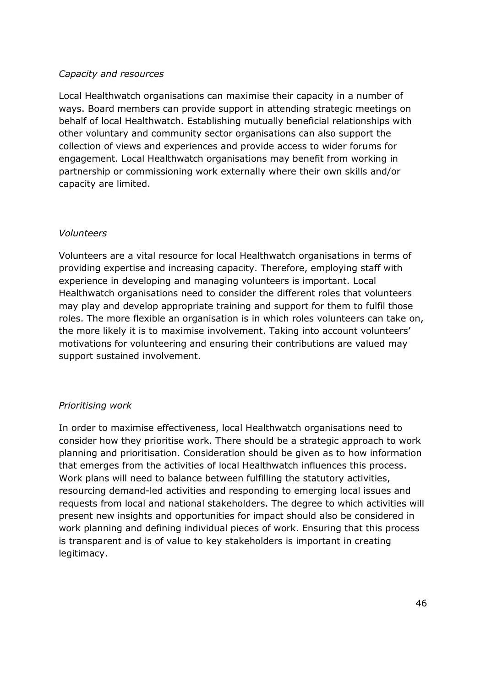## *Capacity and resources*

 Local Healthwatch organisations can maximise their capacity in a number of ways. Board members can provide support in attending strategic meetings on behalf of local Healthwatch. Establishing mutually beneficial relationships with other voluntary and community sector organisations can also support the engagement. Local Healthwatch organisations may benefit from working in partnership or commissioning work externally where their own skills and/or capacity are limited. collection of views and experiences and provide access to wider forums for

## *Volunteers*

 Volunteers are a vital resource for local Healthwatch organisations in terms of providing expertise and increasing capacity. Therefore, employing staff with experience in developing and managing volunteers is important. Local may play and develop appropriate training and support for them to fulfil those roles. The more flexible an organisation is in which roles volunteers can take on, the more likely it is to maximise involvement. Taking into account volunteers' motivations for volunteering and ensuring their contributions are valued may support sustained involvement. Healthwatch organisations need to consider the different roles that volunteers

## *Prioritising work*

 consider how they prioritise work. There should be a strategic approach to work planning and prioritisation. Consideration should be given as to how information that emerges from the activities of local Healthwatch influences this process. resourcing demand-led activities and responding to emerging local issues and requests from local and national stakeholders. The degree to which activities will present new insights and opportunities for impact should also be considered in work planning and defining individual pieces of work. Ensuring that this process is transparent and is of value to key stakeholders is important in creating In order to maximise effectiveness, local Healthwatch organisations need to Work plans will need to balance between fulfilling the statutory activities, legitimacy.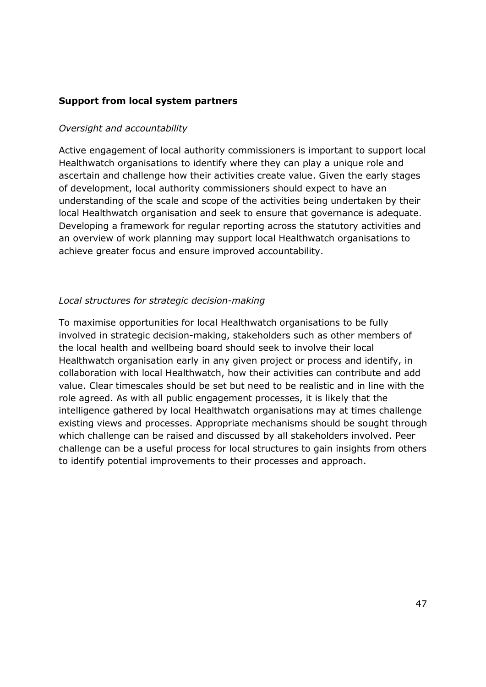#### **Support from local system partners**

#### *Oversight and accountability*

 Active engagement of local authority commissioners is important to support local Healthwatch organisations to identify where they can play a unique role and of development, local authority commissioners should expect to have an understanding of the scale and scope of the activities being undertaken by their local Healthwatch organisation and seek to ensure that governance is adequate. Developing a framework for regular reporting across the statutory activities and an overview of work planning may support local Healthwatch organisations to achieve greater focus and ensure improved accountability. ascertain and challenge how their activities create value. Given the early stages

## *Local structures for strategic decision-making*

 the local health and wellbeing board should seek to involve their local Healthwatch organisation early in any given project or process and identify, in collaboration with local Healthwatch, how their activities can contribute and add value. Clear timescales should be set but need to be realistic and in line with the role agreed. As with all public engagement processes, it is likely that the intelligence gathered by local Healthwatch organisations may at times challenge existing views and processes. Appropriate mechanisms should be sought through which challenge can be raised and discussed by all stakeholders involved. Peer challenge can be a useful process for local structures to gain insights from others to identify potential improvements to their processes and approach. To maximise opportunities for local Healthwatch organisations to be fully involved in strategic decision-making, stakeholders such as other members of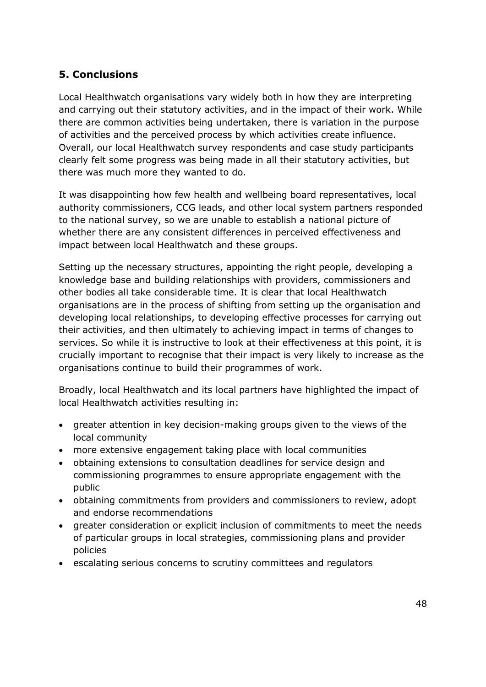# **5. Conclusions**

 Local Healthwatch organisations vary widely both in how they are interpreting and carrying out their statutory activities, and in the impact of their work. While Overall, our local Healthwatch survey respondents and case study participants clearly felt some progress was being made in all their statutory activities, but there was much more they wanted to do. there are common activities being undertaken, there is variation in the purpose of activities and the perceived process by which activities create influence.

there was much more they wanted to do.<br>It was disappointing how few health and wellbeing board representatives, local authority commissioners, CCG leads, and other local system partners responded to the national survey, so we are unable to establish a national picture of impact between local Healthwatch and these groups. whether there are any consistent differences in perceived effectiveness and

 Setting up the necessary structures, appointing the right people, developing a knowledge base and building relationships with providers, commissioners and other bodies all take considerable time. It is clear that local Healthwatch organisations are in the process of shifting from setting up the organisation and developing local relationships, to developing effective processes for carrying out their activities, and then ultimately to achieving impact in terms of changes to services. So while it is instructive to look at their effectiveness at this point, it is crucially important to recognise that their impact is very likely to increase as the organisations continue to build their programmes of work.

 Broadly, local Healthwatch and its local partners have highlighted the impact of local Healthwatch activities resulting in:

- greater attention in key decision-making groups given to the views of the local community
- more extensive engagement taking place with local communities
- commissioning programmes to ensure appropriate engagement with the obtaining extensions to consultation deadlines for service design and public
- obtaining commitments from providers and commissioners to review, adopt and endorse recommendations
- of particular groups in local strategies, commissioning plans and provider greater consideration or explicit inclusion of commitments to meet the needs policies
- escalating serious concerns to scrutiny committees and regulators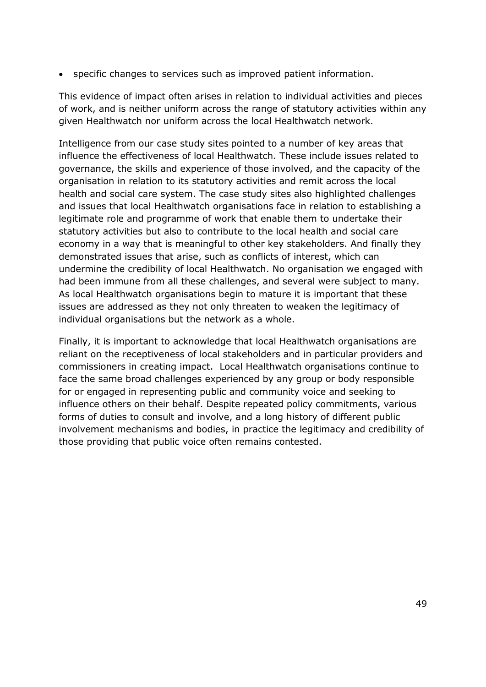specific changes to services such as improved patient information.

 of work, and is neither uniform across the range of statutory activities within any given Healthwatch nor uniform across the local Healthwatch network. This evidence of impact often arises in relation to individual activities and pieces

 Intelligence from our case study sites pointed to a number of key areas that influence the effectiveness of local Healthwatch. These include issues related to governance, the skills and experience of those involved, and the capacity of the organisation in relation to its statutory activities and remit across the local health and social care system. The case study sites also highlighted challenges and issues that local Healthwatch organisations face in relation to establishing a legitimate role and programme of work that enable them to undertake their statutory activities but also to contribute to the local health and social care economy in a way that is meaningful to other key stakeholders. And finally they demonstrated issues that arise, such as conflicts of interest, which can undermine the credibility of local Healthwatch. No organisation we engaged with had been immune from all these challenges, and several were subject to many. issues are addressed as they not only threaten to weaken the legitimacy of individual organisations but the network as a whole. As local Healthwatch organisations begin to mature it is important that these

 Finally, it is important to acknowledge that local Healthwatch organisations are reliant on the receptiveness of local stakeholders and in particular providers and commissioners in creating impact. Local Healthwatch organisations continue to face the same broad challenges experienced by any group or body responsible for or engaged in representing public and community voice and seeking to influence others on their behalf. Despite repeated policy commitments, various forms of duties to consult and involve, and a long history of different public involvement mechanisms and bodies, in practice the legitimacy and credibility of those providing that public voice often remains contested.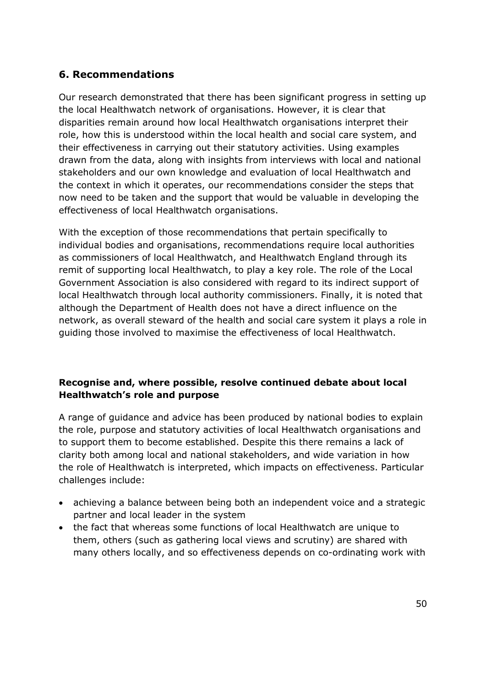# **6. Recommendations**

 Our research demonstrated that there has been significant progress in setting up the local Healthwatch network of organisations. However, it is clear that disparities remain around how local Healthwatch organisations interpret their role, how this is understood within the local health and social care system, and their effectiveness in carrying out their statutory activities. Using examples stakeholders and our own knowledge and evaluation of local Healthwatch and the context in which it operates, our recommendations consider the steps that now need to be taken and the support that would be valuable in developing the effectiveness of local Healthwatch organisations. drawn from the data, along with insights from interviews with local and national

 individual bodies and organisations, recommendations require local authorities as commissioners of local Healthwatch, and Healthwatch England through its remit of supporting local Healthwatch, to play a key role. The role of the Local Government Association is also considered with regard to its indirect support of local Healthwatch through local authority commissioners. Finally, it is noted that although the Department of Health does not have a direct influence on the network, as overall steward of the health and social care system it plays a role in guiding those involved to maximise the effectiveness of local Healthwatch. With the exception of those recommendations that pertain specifically to

## **Healthwatch's role and purpose Recognise and, where possible, resolve continued debate about local**

 A range of guidance and advice has been produced by national bodies to explain the role, purpose and statutory activities of local Healthwatch organisations and to support them to become established. Despite this there remains a lack of clarity both among local and national stakeholders, and wide variation in how the role of Healthwatch is interpreted, which impacts on effectiveness. Particular challenges include:

- achieving a balance between being both an independent voice and a strategic partner and local leader in the system
- them, others (such as gathering local views and scrutiny) are shared with many others locally, and so effectiveness depends on co-ordinating work with the fact that whereas some functions of local Healthwatch are unique to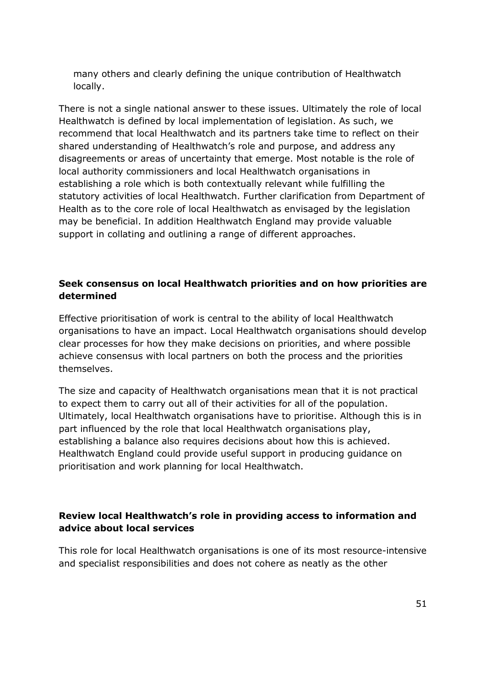many others and clearly defining the unique contribution of Healthwatch locally.

 There is not a single national answer to these issues. Ultimately the role of local Healthwatch is defined by local implementation of legislation. As such, we recommend that local Healthwatch and its partners take time to reflect on their shared understanding of Healthwatch's role and purpose, and address any disagreements or areas of uncertainty that emerge. Most notable is the role of local authority commissioners and local Healthwatch organisations in establishing a role which is both contextually relevant while fulfilling the statutory activities of local Healthwatch. Further clarification from Department of Health as to the core role of local Healthwatch as envisaged by the legislation may be beneficial. In addition Healthwatch England may provide valuable support in collating and outlining a range of different approaches.

## **Seek consensus on local Healthwatch priorities and on how priorities are determined**

 Effective prioritisation of work is central to the ability of local Healthwatch organisations to have an impact. Local Healthwatch organisations should develop achieve consensus with local partners on both the process and the priorities clear processes for how they make decisions on priorities, and where possible themselves.

 The size and capacity of Healthwatch organisations mean that it is not practical to expect them to carry out all of their activities for all of the population. Ultimately, local Healthwatch organisations have to prioritise. Although this is in part influenced by the role that local Healthwatch organisations play, establishing a balance also requires decisions about how this is achieved. Healthwatch England could provide useful support in producing guidance on prioritisation and work planning for local Healthwatch.

## **Review local Healthwatch's role in providing access to information and advice about local services**

 and specialist responsibilities and does not cohere as neatly as the other This role for local Healthwatch organisations is one of its most resource-intensive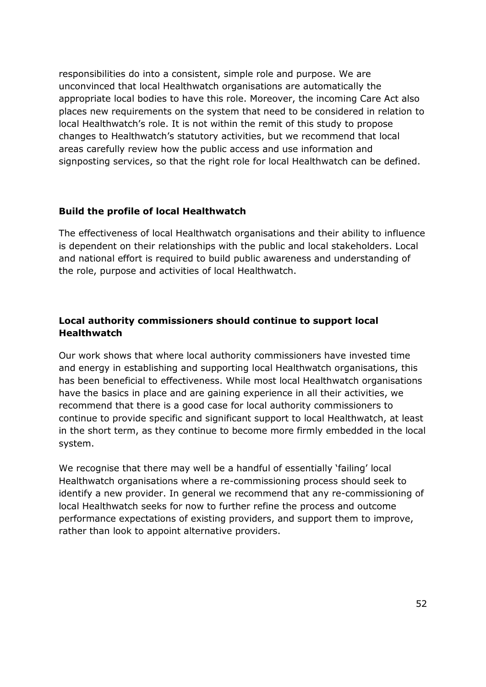responsibilities do into a consistent, simple role and purpose. We are unconvinced that local Healthwatch organisations are automatically the appropriate local bodies to have this role. Moreover, the incoming Care Act also places new requirements on the system that need to be considered in relation to local Healthwatch's role. It is not within the remit of this study to propose changes to Healthwatch's statutory activities, but we recommend that local signposting services, so that the right role for local Healthwatch can be defined. areas carefully review how the public access and use information and

#### **Build the profile of local Healthwatch**

 The effectiveness of local Healthwatch organisations and their ability to influence is dependent on their relationships with the public and local stakeholders. Local and national effort is required to build public awareness and understanding of the role, purpose and activities of local Healthwatch.

## **Local authority commissioners should continue to support local Healthwatch**

 Our work shows that where local authority commissioners have invested time and energy in establishing and supporting local Healthwatch organisations, this have the basics in place and are gaining experience in all their activities, we recommend that there is a good case for local authority commissioners to continue to provide specific and significant support to local Healthwatch, at least in the short term, as they continue to become more firmly embedded in the local system. has been beneficial to effectiveness. While most local Healthwatch organisations

 We recognise that there may well be a handful of essentially 'failing' local Healthwatch organisations where a re-commissioning process should seek to identify a new provider. In general we recommend that any re-commissioning of performance expectations of existing providers, and support them to improve, local Healthwatch seeks for now to further refine the process and outcome rather than look to appoint alternative providers.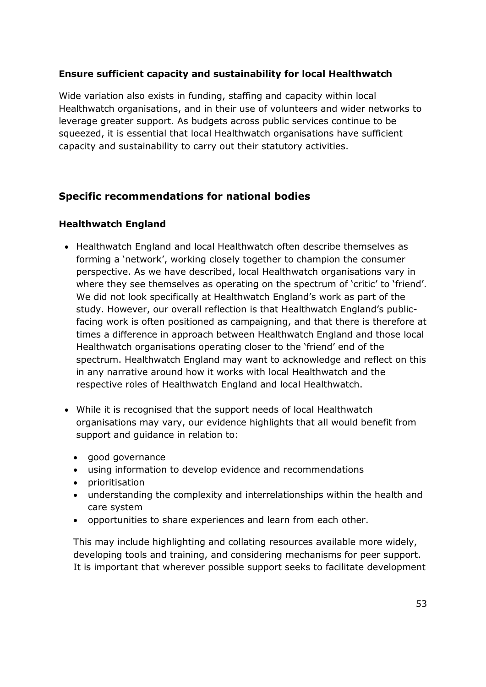## **Ensure sufficient capacity and sustainability for local Healthwatch**

 Wide variation also exists in funding, staffing and capacity within local Healthwatch organisations, and in their use of volunteers and wider networks to leverage greater support. As budgets across public services continue to be squeezed, it is essential that local Healthwatch organisations have sufficient capacity and sustainability to carry out their statutory activities.

# **Specific recommendations for national bodies**

## **Healthwatch England**

- Healthwatch England and local Healthwatch often describe themselves as forming a 'network', working closely together to champion the consumer perspective. As we have described, local Healthwatch organisations vary in where they see themselves as operating on the spectrum of 'critic' to 'friend'. We did not look specifically at Healthwatch England's work as part of the study. However, our overall reflection is that Healthwatch England's public- facing work is often positioned as campaigning, and that there is therefore at times a difference in approach between Healthwatch England and those local Healthwatch organisations operating closer to the 'friend' end of the spectrum. Healthwatch England may want to acknowledge and reflect on this in any narrative around how it works with local Healthwatch and the respective roles of Healthwatch England and local Healthwatch.
- organisations may vary, our evidence highlights that all would benefit from support and guidance in relation to: While it is recognised that the support needs of local Healthwatch
	- good governance
	- using information to develop evidence and recommendations
	- prioritisation
	- understanding the complexity and interrelationships within the health and care system
	- opportunities to share experiences and learn from each other.

 This may include highlighting and collating resources available more widely, developing tools and training, and considering mechanisms for peer support. It is important that wherever possible support seeks to facilitate development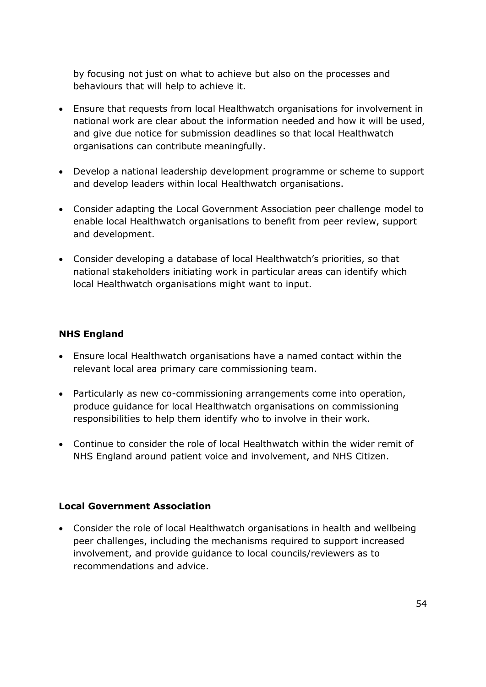by focusing not just on what to achieve but also on the processes and behaviours that will help to achieve it.

- Ensure that requests from local Healthwatch organisations for involvement in national work are clear about the information needed and how it will be used, and give due notice for submission deadlines so that local Healthwatch organisations can contribute meaningfully.
- Develop a national leadership development programme or scheme to support and develop leaders within local Healthwatch organisations.
- Consider adapting the Local Government Association peer challenge model to enable local Healthwatch organisations to benefit from peer review, support and development.
- Consider developing a database of local Healthwatch's priorities, so that national stakeholders initiating work in particular areas can identify which local Healthwatch organisations might want to input.

## **NHS England**

- Ensure local Healthwatch organisations have a named contact within the relevant local area primary care commissioning team.
- Particularly as new co-commissioning arrangements come into operation, responsibilities to help them identify who to involve in their work. produce guidance for local Healthwatch organisations on commissioning
- Continue to consider the role of local Healthwatch within the wider remit of NHS England around patient voice and involvement, and NHS Citizen.

#### **Local Government Association**

 Consider the role of local Healthwatch organisations in health and wellbeing involvement, and provide guidance to local councils/reviewers as to recommendations and advice. peer challenges, including the mechanisms required to support increased